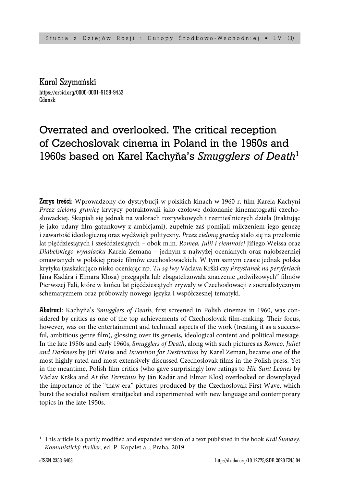Karol Szymański https://orcid.org/0000-0001-9158-9452 Gdańsk

# Overrated and overlooked. The critical reception of Czechoslovak cinema in Poland in the 1950s and 1960s based on Karel Kachyňa's *Smugglers of Death*<sup>1</sup>

Zarys treści: Wprowadzony do dystrybucji w polskich kinach w 1960 r. film Karela Kachyni *Przez zieloną granicę* krytycy potraktowali jako czołowe dokonanie kinematografi i czechosłowackiej. Skupiali się jednak na walorach rozrywkowych i rzemieślniczych dzieła (traktując je jako udany film gatunkowy z ambicjami), zupełnie zaś pomijali milczeniem jego genezę i zawartość ideologiczną oraz wydźwięk polityczny. *Przez zieloną granicę* stało się na przełomie lat pięćdziesiątych i sześćdziesiątych – obok m.in. *Romea, Julii i ciemności* Jiříego Weissa oraz *Diabelskiego wynalazku* Karela Zemana – jednym z najwyżej ocenianych oraz najobszerniej omawianych w polskiej prasie filmów czechosłowackich. W tym samym czasie jednak polska krytyka (zaskakująco nisko oceniając np. *Tu są lwy* Václava Krški czy *Przystanek na peryferiach* Jána Kadára i Elmara Klosa) przegapiła lub zbagatelizowała znaczenie "odwilżowych" filmów Pierwszej Fali, które w końcu lat pięćdziesiątych zrywały w Czechosłowacji z socrealistycznym schematyzmem oraz próbowały nowego języka i współczesnej tematyki.

**Abstract:** Kachyňa's *Smugglers of Death*, first screened in Polish cinemas in 1960, was considered by critics as one of the top achievements of Czechoslovak film-making. Their focus, however, was on the entertainment and technical aspects of the work (treating it as a successful, ambitious genre film), glossing over its genesis, ideological content and political message. In the late 1950s and early 1960s, *Smugglers of Death*, along with such pictures as *Romeo, Juliet and Darkness* by Jiří Weiss and *Invention for Destruction* by Karel Zeman, became one of the most highly rated and most extensively discussed Czechoslovak films in the Polish press. Yet in the meantime, Polish film critics (who gave surprisingly low ratings to *Hic Sunt Leones* by Václav Krška and *At the Terminus* by Ján Kadár and Elmar Klos) overlooked or downplayed the importance of the "thaw-era" pictures produced by the Czechoslovak First Wave, which burst the socialist realism straitjacket and experimented with new language and contemporary topics in the late 1950s.

<sup>&</sup>lt;sup>1</sup> This article is a partly modified and expanded version of a text published in the book *Král Šumavy*. *Komunistický thriller*, ed. P. Kopalet al., Praha, 2019.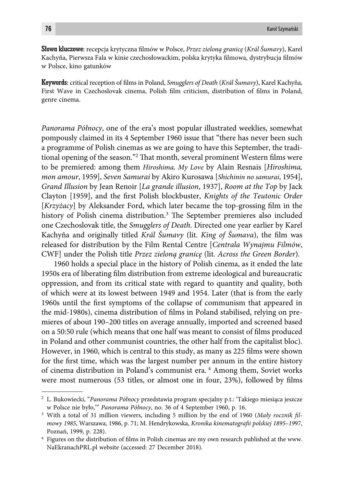Słowa kluczowe: recepcja krytyczna fi lmów w Polsce, *Przez zieloną granicę* (*Král Šumavy*), Karel Kachyña, Pierwsza Fala w kinie czechosłowackim, polska krytyka filmowa, dystrybucja filmów w Polsce, kino gatunków

Keywords: critical reception of films in Poland, *Smugglers of Death (Král Šumavy)*, Karel Kachyňa, First Wave in Czechoslovak cinema, Polish film criticism, distribution of films in Poland, genre cinema.

*Panorama Północy*, one of the era's most popular illustrated weeklies, somewhat pompously claimed in its 4 September 1960 issue that "there has never been such a programme of Polish cinemas as we are going to have this September, the traditional opening of the season."<sup>2</sup> That month, several prominent Western films were to be premiered: among them *Hiroshima, My Love* by Alain Resnais [*Hiroshima, mon amour*, 1959], *Seven Samurai* by Akiro Kurosawa [*Shichinin no samurai*, 1954], *Grand Illusion* by Jean Renoir [*La grande illusion*, 1937], *Room at the Top* by Jack Clayton [1959], and the first Polish blockbuster, *Knights of the Teutonic Order* [*Krzyżacy*] by Aleksander Ford, which later became the top-grossing film in the history of Polish cinema distribution.<sup>3</sup> The September premieres also included one Czechoslovak title, the *Smugglers of Death*. Directed one year earlier by Karel Kachyňa and originally titled *Král Šumavy* (lit. *King of Šumava*), the film was released for distribution by the Film Rental Centre [*Centrala Wynajmu Filmów*, CWF] under the Polish title *Przez zieloną granicę* (lit. *Across the Green Border*).

1960 holds a special place in the history of Polish cinema, as it ended the late 1950s era of liberating film distribution from extreme ideological and bureaucratic oppression, and from its critical state with regard to quantity and quality, both of which were at its lowest between 1949 and 1954. Later (that is from the early 1960s until the first symptoms of the collapse of communism that appeared in the mid-1980s), cinema distribution of films in Poland stabilised, relying on premieres of about 190–200 titles on average annually, imported and screened based on a 50:50 rule (which means that one half was meant to consist of films produced in Poland and other communist countries, the other half from the capitalist bloc). However, in 1960, which is central to this study, as many as 225 films were shown for the first time, which was the largest number per annum in the entire history of cinema distribution in Poland's communist era. 4 Among them, Soviet works were most numerous  $(53 \text{ titles}, \text{or almost one in four}, 23\%)$ , followed by films

<sup>2</sup> L. Bukowiecki, "*Panorama Północy* przedstawia program specjalny p.t.: 'Takiego miesiąca jeszcze w Polsce nie było,'" *Panorama Północy*, no. 36 of 4 September 1960, p. 16.

<sup>&</sup>lt;sup>3</sup> With a total of 31 million viewers, including 5 million by the end of 1960 (Mały rocznik fil*mowy 1985*, Warszawa, 1986, p. 71; M. Hendrykowska, *Kronika kinematografi i polskiej 1895–19*97, Poznań, 1999, p. 228).

<sup>&</sup>lt;sup>4</sup> Figures on the distribution of films in Polish cinemas are my own research published at the www. NaEkranachPRL.pl website (accessed: 27 December 2018).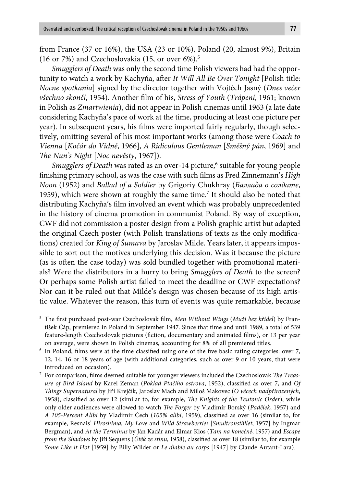from France (37 or 16%), the USA (23 or 10%), Poland (20, almost 9%), Britain (16 or 7%) and Czechoslovakia (15, or over 6%).5

*Smugglers of Death* was only the second time Polish viewers had had the opportunity to watch a work by Kachyňa, after *It Will All Be Over Tonight* [Polish title: *Nocne spotkania*] signed by the director together with Vojtěch Jasný (*Dnes večer všechno skončí*, 1954). Another film of his, *Stress of Youth* (*Trápení*, 1961; known in Polish as *Zmartwienia*), did not appear in Polish cinemas until 1963 (a late date considering Kachyňa's pace of work at the time, producing at least one picture per year). In subsequent years, his films were imported fairly regularly, though selectively, omitting several of his most important works (among those were *Coach to Vienna* [*Kočár do Vídně*, 1966], *A Ridiculous Gentleman* [*Směšný pán*, 1969] and *The Nun's Night* [*Noc nevěsty*, 1967]).

Smugglers of Death was rated as an over-14 picture,<sup>6</sup> suitable for young people finishing primary school, as was the case with such films as Fred Zinnemann's *High Noon* (1952) and *Ballad of a Soldier* by Grigoriy Chukhray (*Баллада о солдате*, 1959), which were shown at roughly the same time.<sup>7</sup> It should also be noted that distributing Kachyňa's film involved an event which was probably unprecedented in the history of cinema promotion in communist Poland. By way of exception, CWF did not commission a poster design from a Polish graphic artist but adapted the original Czech poster (with Polish translations of texts as the only modifications) created for *King of Šumava* by Jaroslav Milde. Years later, it appears impossible to sort out the motives underlying this decision. Was it because the picture (as is often the case today) was sold bundled together with promotional materials? Were the distributors in a hurry to bring *Smugglers of Death* to the screen? Or perhaps some Polish artist failed to meet the deadline or CWF expectations? Nor can it be ruled out that Milde's design was chosen because of its high artistic value. Whatever the reason, this turn of events was quite remarkable, because

<sup>&</sup>lt;sup>5</sup> The first purchased post-war Czechoslovak film, *Men Without Wings (Muži bez křídel)* by František Čáp, premiered in Poland in September 1947. Since that time and until 1989, a total of 539 feature-length Czechoslovak pictures (fiction, documentary and animated films), or 13 per year on average, were shown in Polish cinemas, accounting for 8% of all premiered titles.

 $6\,$  In Poland, films were at the time classified using one of the five basic rating categories: over 7, 12, 14, 16 or 18 years of age (with additional categories, such as over 9 or 10 years, that were introduced on occasion).

<sup>&</sup>lt;sup>7</sup> For comparison, films deemed suitable for younger viewers included the Czechoslovak *The Treasure of Bird Island* by Karel Zeman (*Poklad Ptačího ostrova*, 1952), classified as over 7, and Of *Th ings Supernatural* by Jiří Krejčík, Jaroslav Mach and Miloš Makovec (*O věcech nadpřirozených*, 1958), classified as over 12 (similar to, for example, *The Knights of the Teutonic Order*), while only older audiences were allowed to watch *The Forger* by Vladimír Borský (*Padělek*, 1957) and *A 105-Percent Alibi* by Vladimír Čech (105% alibi, 1959), classified as over 16 (similar to, for example, Resnais' *Hiroshima, My Love* and *Wild Strawberries* [*Smultronstället*, 1957] by Ingmar Bergman), and *At the Terminus* by Ján Kadár and Elmar Klos (*Tam na konečné*, 1957) and *Escape from the Shadows* by Jiří Sequens (Útěk ze stínu, 1958), classified as over 18 (similar to, for example *Some Like it Hot* [1959] by Billy Wilder or *Le diable au corps* [1947] by Claude Autant-Lara).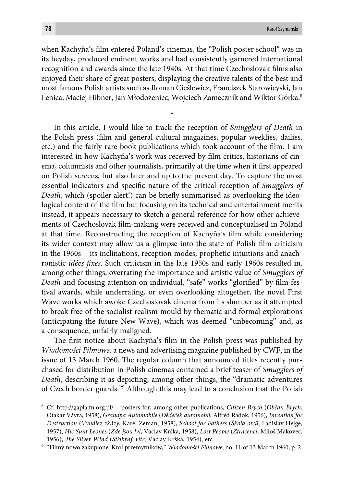when Kachyňa's film entered Poland's cinemas, the "Polish poster school" was in its heyday, produced eminent works and had consistently garnered international recognition and awards since the late 1940s. At that time Czechoslovak films also enjoyed their share of great posters, displaying the creative talents of the best and most famous Polish artists such as Roman Cieślewicz, Franciszek Starowieyski, Jan Lenica, Maciej Hibner, Jan Młodożeniec, Wojciech Zamecznik and Wiktor Górka.<sup>8</sup>

\*

In this article, I would like to track the reception of *Smugglers of Death* in the Polish press (film and general cultural magazines, popular weeklies, dailies, etc.) and the fairly rare book publications which took account of the film. I am interested in how Kachyňa's work was received by film critics, historians of cinema, columnists and other journalists, primarily at the time when it first appeared on Polish screens, but also later and up to the present day. To capture the most essential indicators and specific nature of the critical reception of *Smugglers of Death*, which (spoiler alert!) can be briefly summarised as overlooking the ideological content of the film but focusing on its technical and entertainment merits instead, it appears necessary to sketch a general reference for how other achievements of Czechoslovak film-making were received and conceptualised in Poland at that time. Reconstructing the reception of Kachyňa's film while considering its wider context may allow us a glimpse into the state of Polish film criticism in the 1960s – its inclinations, reception modes, prophetic intuitions and anachronistic *idées fixes*. Such criticism in the late 1950s and early 1960s resulted in, among other things, overrating the importance and artistic value of *Smugglers of Death* and focusing attention on individual, "safe" works "glorified" by film festival awards, while underrating, or even overlooking altogether, the novel First Wave works which awoke Czechoslovak cinema from its slumber as it attempted to break free of the socialist realism mould by thematic and formal explorations (anticipating the future New Wave), which was deemed "unbecoming" and, as a consequence, unfairly maligned.

The first notice about Kachyňa's film in the Polish press was published by *Wiadomości Filmowe*, a news and advertising magazine published by CWF, in the issue of 13 March 1960. The regular column that announced titles recently purchased for distribution in Polish cinemas contained a brief teaser of *Smugglers of Death*, describing it as depicting, among other things, the "dramatic adventures of Czech border guards."9 Although this may lead to a conclusion that the Polish

<sup>8</sup> Cf. http://gapla.fn.org.pl/ – posters for, among other publications, *Citizen Brych* (*Občan Brych*, Otakar Vávra, 1958), *Grandpa Automobile* (*Dědeček automobil*, Alfréd Radok, 1956), *Invention for Destruction* (*Vynález zkázy*, Karel Zeman, 1958), *School for Fathers* (*Škola otců*, Ladislav Helge, 1957), *Hic Sunt Leones* (*Zde jsou lvi*, Václav Krška, 1958), *Lost People* (*Ztracenci*, Miloš Makovec, 1956), *The Silver Wind (Stříbrný vítr*, Václav Krška, 1954), etc.

<sup>9</sup> "Filmy nowo zakupione. Król przemytników," *Wiadomości Filmowe*, no. 11 of 13 March 1960, p. 2.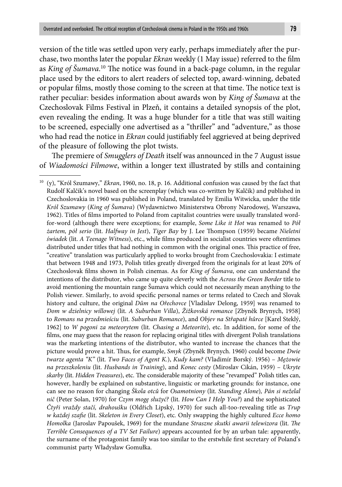version of the title was settled upon very early, perhaps immediately after the purchase, two months later the popular *Ekran* weekly (1 May issue) referred to the film as *King of Šumava*.<sup>10</sup> The notice was found in a back-page column, in the regular place used by the editors to alert readers of selected top, award-winning, debated or popular films, mostly those coming to the screen at that time. The notice text is rather peculiar: besides information about awards won by *King of Šumava* at the Czechoslovak Films Festival in Plzeň, it contains a detailed synopsis of the plot, even revealing the ending. It was a huge blunder for a title that was still waiting to be screened, especially one advertised as a "thriller" and "adventure," as those who had read the notice in *Ekran* could justifiably feel aggrieved at being deprived of the pleasure of following the plot twists.

The premiere of *Smugglers of Death* itself was announced in the 7 August issue of *Wiadomości Filmowe*, within a longer text illustrated by stills and containing

<sup>10 (</sup>y), "Król Szumawy," *Ekran*, 1960, no. 18, p. 16. Additional confusion was caused by the fact that Rudolf Kalčik's novel based on the screenplay (which was co-written by Kalčik) and published in Czechoslovakia in 1960 was published in Poland, translated by Emilia Witwicka, under the title *Król Szumawy* (*King of Šumava*) (Wydawnictwo Ministerstwa Obrony Narodowej, Warszawa, 1962). Titles of films imported to Poland from capitalist countries were usually translated wordfor-word (although there were exceptions; for example, *Some Like it Hot* was renamed to *Pół żartem, pół serio* (lit. *Halfway in Jest*), *Tiger Bay* by J. Lee Th ompson (1959) became *Nieletni świadek* (lit. *A Teenage Witness*), etc., while films produced in socialist countries were oftentimes distributed under titles that had nothing in common with the original ones. This practice of free, "creative" translation was particularly applied to works brought from Czechoslovakia: I estimate that between 1948 and 1973, Polish titles greatly diverged from the originals for at least 20% of Czechoslovak films shown in Polish cinemas. As for *King of Šumava*, one can understand the intentions of the distributor, who came up quite cleverly with the *Across the Green Border* title to avoid mentioning the mountain range Šumava which could not necessarily mean anything to the Polish viewer. Similarly, to avoid specific personal names or terms related to Czech and Slovak history and culture, the original *Dům na Ořechovce* [Vladislav Delong, 1959] was renamed to *Dom w dzielnicy willowej* (lit. *A Suburban Villa*), *Žižkovská romance* [Zbyněk Brynych, 1958] to *Romans na przedmieściu* (lit. *Suburban Romance*), and *Objev na Střapaté hůrce* [Karel Steklý, 1962] to *W pogoni za meteorytem* (lit. *Chasing a Meteorite*), etc. In addition, for some of the films, one may guess that the reason for replacing original titles with divergent Polish translations was the marketing intentions of the distributor, who wanted to increase the chances that the picture would prove a hit. Thus, for example, *Smyk* (Zbyněk Brynych. 1960) could become *Dwie twarze agenta "K"* (lit. *Two Faces of Agent K.*), *Kudy kam?* (Vladimír Borský. 1956) – *Mężowie na przeszkoleniu* (lit. *Husbands in Training*), and *Konec cesty* (Miroslav Cikán, 1959) – *Ukryte skarby* (lit. *Hidden Treasures*), etc. The considerable majority of these "revamped" Polish titles can, however, hardly be explained on substantive, linguistic or marketing grounds: for instance, one can see no reason for changing *Škola otců* for *Osamotniony* (lit. *Standing Alone*)*, Pán si neželal nič* (Peter Solan, 1970) for *Czym mogę służyć?* (lit. *How Can I Help You?*) and the sophisticated *Čtyři vraždy stačí, drahoušku* (Oldřich Lipský, 1970) for such all-too-revealing title as *Trup w każdej szafi e* (lit. *Skeleton in Every Closet*), etc*.* Only swapping the highly cultured *Ecce homo Homolka* (Jaroslav Papoušek, 1969) for the mundane *Straszne skutki awarii telewizora* (lit. *The Terrible Consequences of a TV Set Failure*) appears accounted for by an urban tale: apparently, the surname of the protagonist family was too similar to the erstwhile first secretary of Poland's communist party Władysław Gomułka.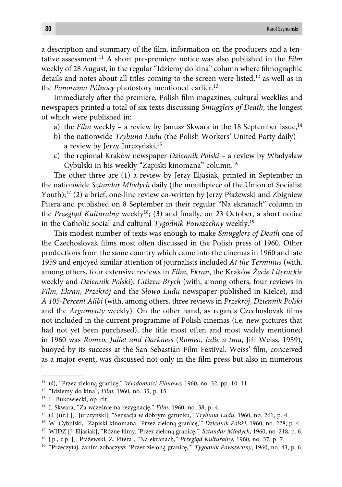a description and summary of the film, information on the producers and a tentative assessment.11 A short pre-premiere notice was also published in the *Film* weekly of 28 August, in the regular "Idziemy do kina" column where filmographic details and notes about all titles coming to the screen were listed, $12$  as well as in the *Panorama Północy* photostory mentioned earlier.<sup>13</sup>

Immediately after the premiere, Polish film magazines, cultural weeklies and newspapers printed a total of six texts discussing *Smugglers of Death*, the longest of which were published in:

- a) the *Film* weekly a review by Janusz Skwara in the 18 September issue,<sup>14</sup>
- b) the nationwide *Trybuna Ludu* (the Polish Workers' United Party daily) a review by Jerzy Jurczyński,<sup>15</sup>
- c) the regional Kraków newspaper *Dziennik Polski* a review by Władysław Cybulski in his weekly "Zapiski kinomana" column.16

The other three are (1) a review by Jerzy Eljasiak, printed in September in the nationwide *Sztandar Młodych* daily (the mouthpiece of the Union of Socialist Youth);<sup>17</sup> (2) a brief, one-line review co-written by Jerzy Płażewski and Zbigniew Pitera and published on 8 September in their regular "Na ekranach" column in the *Przegląd Kulturalny* weekly<sup>18</sup>; (3) and finally, on 23 October, a short notice in the Catholic social and cultural *Tygodnik Powszechny* weekly.19

This modest number of texts was enough to make *Smugglers of Death* one of the Czechoslovak films most often discussed in the Polish press of 1960. Other productions from the same country which came into the cinemas in 1960 and late 1959 and enjoyed similar attention of journalists included *At the Terminus* (with, among others, four extensive reviews in *Film*, *Ekran*, the Kraków *Życie Literackie* weekly and *Dziennik Polski*), *Citizen Brych* (with, among others, four reviews in *Film*, *Ekran*, *Przekrój* and the *Słowo Ludu* newspaper published in Kielce), and *A 105-Percent Alibi* (with, among others, three reviews in *Przekrój*, *Dziennik Polski* and the *Argumenty* weekly). On the other hand, as regards Czechoslovak films not included in the current programme of Polish cinemas (i.e. new pictures that had not yet been purchased), the title most often and most widely mentioned in 1960 was *Romeo, Juliet and Darkness* (*Romeo, Julie a tma*, Jiří Weiss, 1959), buoyed by its success at the San Sebastián Film Festival. Weiss' film, conceived as a major event, was discussed not only in the film press but also in numerous

<sup>11 (</sup>ś), "Przez zieloną granicę," *Wiadomości Filmowe*, 1960, no. 32, pp. 10–11.

<sup>12 &</sup>quot;Idziemy do kina", *Film*, 1960, no. 35, p. 15.

<sup>13</sup> L. Bukowiecki, op. cit.

<sup>14</sup> J. Skwara, "Za wcześnie na rezygnację," *Film*, 1960, no. 38, p. 4.

<sup>15 (</sup>J. Jur.) [J. Jurczyński], "Sensacja w dobrym gatunku," *Trybuna Ludu*, 1960, no. 261, p. 4.

<sup>16</sup> W. Cybulski, "Zapiski kinomana. 'Przez zieloną granicę,'" *Dziennik Polski*, 1960, no. 228, p. 4.

<sup>&</sup>lt;sup>17</sup> WIDZ [J. Eljasiak], "Różne filmy. 'Przez zieloną granicę," Sztandar Młodych, 1960, no. 218, p. 6.

<sup>18</sup> j.p., z.p. [J. Płażewski, Z. Pitera], "Na ekranach," *Przegląd Kulturalny*, 1960, no. 37, p. 7.

<sup>19 &</sup>quot;Przeczytaj, zanim zobaczysz. 'Przez zieloną granicę,'" *Tygodnik Powszechny*, 1960, no. 43, p. 6.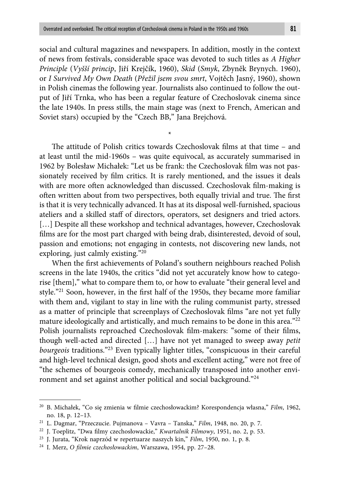social and cultural magazines and newspapers. In addition, mostly in the context of news from festivals, considerable space was devoted to such titles as *A Higher Principle* (*Vyšší princip*, Jiří Krejčík, 1960), *Skid* (*Smyk*, Zbyněk Brynych. 1960), or *I Survived My Own Death* (*Přežil jsem svou smrt*, Vojtěch Jasný, 1960), shown in Polish cinemas the following year. Journalists also continued to follow the output of Jiří Trnka, who has been a regular feature of Czechoslovak cinema since the late 1940s. In press stills, the main stage was (next to French, American and Soviet stars) occupied by the "Czech BB," Jana Brejchová.

\*

The attitude of Polish critics towards Czechoslovak films at that time  $-$  and at least until the mid-1960s – was quite equivocal, as accurately summarised in 1962 by Bolesław Michałek: "Let us be frank: the Czechoslovak film was not passionately received by film critics. It is rarely mentioned, and the issues it deals with are more often acknowledged than discussed. Czechoslovak film-making is often written about from two perspectives, both equally trivial and true. The first is that it is very technically advanced. It has at its disposal well-furnished, spacious ateliers and a skilled staff of directors, operators, set designers and tried actors. [...] Despite all these workshop and technical advantages, however, Czechoslovak films are for the most part charged with being drab, disinterested, devoid of soul, passion and emotions; not engaging in contests, not discovering new lands, not exploring, just calmly existing."20

When the first achievements of Poland's southern neighbours reached Polish screens in the late 1940s, the critics "did not yet accurately know how to categorise [them]," what to compare them to, or how to evaluate "their general level and style."<sup>21</sup> Soon, however, in the first half of the 1950s, they became more familiar with them and, vigilant to stay in line with the ruling communist party, stressed as a matter of principle that screenplays of Czechoslovak films "are not yet fully mature ideologically and artistically, and much remains to be done in this area."22 Polish journalists reproached Czechoslovak film-makers: "some of their films, though well-acted and directed […] have not yet managed to sweep away *petit bourgeois* traditions."23 Even typically lighter titles, "conspicuous in their careful and high-level technical design, good shots and excellent acting," were not free of "the schemes of bourgeois comedy, mechanically transposed into another environment and set against another political and social background."24

<sup>&</sup>lt;sup>20</sup> B. Michałek, "Co się zmienia w filmie czechosłowackim? Korespondencja własna," Film, 1962, no. 18, p. 12–13.

<sup>21</sup> L. Dagmar, "Przeczucie. Pujmanova – Vavra – Tanska," *Film*, 1948, no. 20, p. 7.

<sup>&</sup>lt;sup>22</sup> J. Toeplitz, "Dwa filmy czechosłowackie," *Kwartalnik Filmowy*, 1951, no. 2, p. 53.

<sup>23</sup> J. Jurata, "Krok naprzód w repertuarze naszych kin," *Film*, 1950, no. 1, p. 8.

<sup>&</sup>lt;sup>24</sup> I. Merz, *O filmie czechosłowackim*, Warszawa, 1954, pp. 27-28.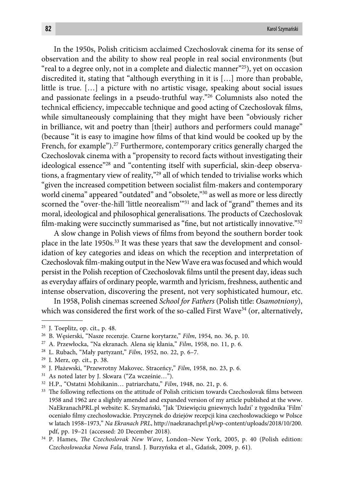In the 1950s, Polish criticism acclaimed Czechoslovak cinema for its sense of observation and the ability to show real people in real social environments (but "real to a degree only, not in a complete and dialectic manner"<sup>25</sup>), yet on occasion discredited it, stating that "although everything in it is […] more than probable, little is true. […] a picture with no artistic visage, speaking about social issues and passionate feelings in a pseudo-truthful way."26 Columnists also noted the technical efficiency, impeccable technique and good acting of Czechoslovak films, while simultaneously complaining that they might have been "obviously richer in brilliance, wit and poetry than [their] authors and performers could manage" (because "it is easy to imagine how films of that kind would be cooked up by the French, for example").<sup>27</sup> Furthermore, contemporary critics generally charged the Czechoslovak cinema with a "propensity to record facts without investigating their ideological essence"<sup>28</sup> and "contenting itself with superficial, skin-deep observations, a fragmentary view of reality,"29 all of which tended to trivialise works which "given the increased competition between socialist film-makers and contemporary world cinema" appeared "outdated" and "obsolete,"30 as well as more or less directly scorned the "over-the-hill 'little neorealism"<sup>31</sup> and lack of "grand" themes and its moral, ideological and philosophical generalisations. The products of Czechoslovak film-making were succinctly summarised as "fine, but not artistically innovative." $32$ 

A slow change in Polish views of films from beyond the southern border took place in the late 1950s.<sup>33</sup> It was these years that saw the development and consolidation of key categories and ideas on which the reception and interpretation of Czechoslovak film-making output in the New Wave era was focused and which would persist in the Polish reception of Czechoslovak films until the present day, ideas such as everyday affairs of ordinary people, warmth and lyricism, freshness, authentic and intense observation, discovering the present, not very sophisticated humour, etc.

In 1958, Polish cinemas screened *School for Fathers* (Polish title: *Osamotniony*), which was considered the first work of the so-called First Wave $^{34}$  (or, alternatively,

<sup>25</sup> J. Toeplitz, op. cit., p. 48.

<sup>26</sup> B. Węsierski, "Nasze recenzje. Czarne korytarze," *Film*, 1954, no. 36, p. 10.

<sup>27</sup> A. Przewłocka, "Na ekranach. Alena się kłania," *Film*, 1958, no. 11, p. 6.

<sup>28</sup> L. Rubach, "Mały partyzant," *Film*, 1952, no. 22, p. 6–7.

<sup>29</sup> I. Merz, op. cit., p. 38.

<sup>30</sup> J. Płażewski, "Przewrotny Makovec. Straceńcy," *Film*, 1958, no. 23, p. 6.

<sup>31</sup> As noted later by J. Skwara ("Za wcześnie…").

<sup>32</sup> H.P., "Ostatni Mohikanin… patriarchatu," *Film*, 1948, no. 21, p. 6.

<sup>&</sup>lt;sup>33</sup> The following reflections on the attitude of Polish criticism towards Czechoslovak films between 1958 and 1962 are a slightly amended and expanded version of my article published at the www. NaEkranachPRL.pl website: K. Szymański, "Jak 'Dziewięciu gniewnych ludzi' z tygodnika 'Film' oceniało filmy czechosłowackie. Przyczynek do dziejów recepcji kina czechosłowackiego w Polsce w latach 1958–1973," *Na Ekranach PRL*, http://naekranachprl.pl/wp-content/uploads/2018/10/200. pdf, pp. 19–21 (accessed: 20 December 2018).

<sup>&</sup>lt;sup>34</sup> P. Hames, *The Czechoslovak New Wave*, London-New York, 2005, p. 40 (Polish edition: *Czechosłowacka Nowa Fala*, transl. J. Burzyńska et al., Gdańsk, 2009, p. 61).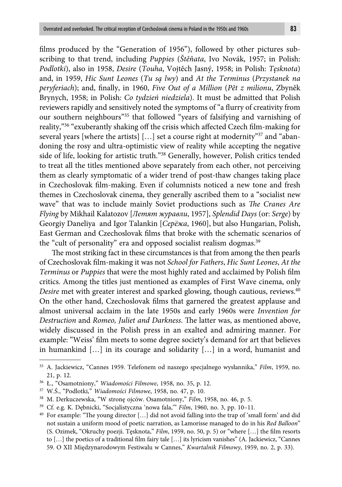films produced by the "Generation of 1956"), followed by other pictures subscribing to that trend, including *Puppies* (*Štěňata*, Ivo Novák, 1957; in Polish: *Podlotki*), also in 1958, *Desire* (*Touha*, Vojtěch Jasný, 1958; in Polish: *Tęsknota*) and, in 1959, *Hic Sunt Leones* (*Tu są lwy*) and *At the Terminus* (*Przystanek na peryferiach*); and, finally, in 1960, *Five Out of a Million* (*Pět z milionu*, Zbyněk Brynych, 1958; in Polish: *Co tydzień niedziela*). It must be admitted that Polish reviewers rapidly and sensitively noted the symptoms of "a flurry of creativity from our southern neighbours"35 that followed "years of falsifying and varnishing of reality,"<sup>36</sup> "exuberantly shaking off the crisis which affected Czech film-making for several years [where the artists] [...] set a course right at modernity"<sup>37</sup> and "abandoning the rosy and ultra-optimistic view of reality while accepting the negative side of life, looking for artistic truth."38 Generally, however, Polish critics tended to treat all the titles mentioned above separately from each other, not perceiving them as clearly symptomatic of a wider trend of post-thaw changes taking place in Czechoslovak film-making. Even if columnists noticed a new tone and fresh themes in Czechoslovak cinema, they generally ascribed them to a "socialist new wave" that was to include mainly Soviet productions such as *The Cranes Are Flying* by Mikhail Kalatozov [*Летят журавли*, 1957], *Splendid Days* (or: *Serge*) by Georgiy Daneliya and Igor Talankin [*Серёжа*, 1960], but also Hungarian, Polish, East German and Czechoslovak films that broke with the schematic scenarios of the "cult of personality" era and opposed socialist realism dogmas.<sup>39</sup>

The most striking fact in these circumstances is that from among the then pearls of Czechoslovak fi lm-making it was not *School for Fathers*, *Hic Sunt Leones*, *At the Terminus* or *Puppies* that were the most highly rated and acclaimed by Polish film critics. Among the titles just mentioned as examples of First Wave cinema, only *Desire* met with greater interest and sparked glowing, though cautious, reviews.<sup>40</sup> On the other hand, Czechoslovak films that garnered the greatest applause and almost universal acclaim in the late 1950s and early 1960s were *Invention for*  Destruction and *Romeo, Juliet and Darkness*. The latter was, as mentioned above, widely discussed in the Polish press in an exalted and admiring manner. For example: "Weiss' film meets to some degree society's demand for art that believes in humankind […] in its courage and solidarity […] in a word, humanist and

<sup>35</sup> A. Jackiewicz, "Cannes 1959. Telefonem od naszego specjalnego wysłannika," *Film*, 1959, no. 21, p. 12.

<sup>36</sup> Ł., "Osamotniony," *Wiadomości Filmowe*, 1958, no. 35, p. 12.

<sup>37</sup> W.Ś., "Podlotki," *Wiadomości Filmowe*, 1958, no. 47, p. 10.

<sup>38</sup> M. Derkuczewska, "W stronę ojców. Osamotniony," *Film*, 1958, no. 46, p. 5.

<sup>39</sup> Cf. e.g. K. Dębnicki, "Socjalistyczna 'nowa fala,'" *Film*, 1960, no. 3, pp. 10–11.

<sup>&</sup>lt;sup>40</sup> For example: "The young director [...] did not avoid falling into the trap of 'small form' and did not sustain a uniform mood of poetic narration, as Lamorisse managed to do in his *Red Balloon*" (S. Ozimek, "Okruchy poezji. Tęsknota," *Film*, 1959, no. 50, p. 5) or "where [...] the film resorts to [...] the poetics of a traditional film fairy tale [...] its lyricism vanishes" (A. Jackiewicz, "Cannes 59. O XII Międzynarodowym Festiwalu w Cannes," *Kwartalnik Filmowy*, 1959, no. 2, p. 33).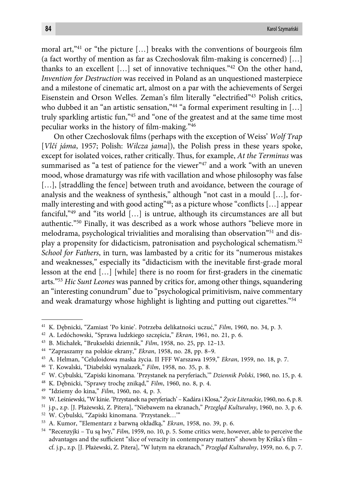moral art," $41$  or "the picture [...] breaks with the conventions of bourgeois film (a fact worthy of mention as far as Czechoslovak film-making is concerned)  $[\ldots]$ thanks to an excellent [...] set of innovative techniques."<sup>42</sup> On the other hand, *Invention for Destruction* was received in Poland as an unquestioned masterpiece and a milestone of cinematic art, almost on a par with the achievements of Sergei Eisenstein and Orson Welles. Zeman's film literally "electrified"<sup>43</sup> Polish critics, who dubbed it an "an artistic sensation,"<sup>44</sup> "a formal experiment resulting in [...] truly sparkling artistic fun,"45 and "one of the greatest and at the same time most peculiar works in the history of film-making."46

On other Czechoslovak films (perhaps with the exception of Weiss' Wolf Trap [*Vlčí jáma*, 1957; Polish: *Wilcza jama*]), the Polish press in these years spoke, except for isolated voices, rather critically. Thus, for example, *At the Terminus* was summarised as "a test of patience for the viewer"47 and a work "with an uneven mood, whose dramaturgy was rife with vacillation and whose philosophy was false [...], [straddling the fence] between truth and avoidance, between the courage of analysis and the weakness of synthesis," although "not cast in a mould […], formally interesting and with good acting"<sup>48</sup>; as a picture whose "conflicts [...] appear fanciful,"49 and "its world […] is untrue, although its circumstances are all but authentic."50 Finally, it was described as a work whose authors "believe more in melodrama, psychological trivialities and moralising than observation<sup>"51</sup> and display a propensity for didacticism, patronisation and psychological schematism.52 *School for Fathers*, in turn, was lambasted by a critic for its "numerous mistakes and weaknesses," especially its "didacticism with the inevitable first-grade moral lesson at the end  $\left[\ldots\right]$  [while] there is no room for first-graders in the cinematic arts."53 *Hic Sunt Leones* was panned by critics for, among other things, squandering an "interesting conundrum" due to "psychological primitivism, naive commentary and weak dramaturgy whose highlight is lighting and putting out cigarettes."54

42 A. Ledóchowski, "Sprawa ludzkiego szczęścia," *Ekran*, 1961, no. 21, p. 6.

<sup>41</sup> K. Dębnicki, "Zamiast 'Po kinie'. Potrzeba delikatności uczuć," *Film*, 1960, no. 34, p. 3.

<sup>43</sup> B. Michałek, "Brukselski dziennik," *Film*, 1958, no. 25, pp. 12–13.

<sup>44 &</sup>quot;Zapraszamy na polskie ekrany," *Ekran*, 1958, no. 28, pp. 8–9.

<sup>45</sup> A. Helman, "Celuloidowa maska życia. II FFF Warszawa 1959," *Ekran*, 1959, no. 18, p. 7.

<sup>46</sup> T. Kowalski, "Diabelski wynalazek," *Film*, 1958, no. 35, p. 8.

<sup>47</sup> W. Cybulski, "Zapiski kinomana. 'Przystanek na peryferiach,'" *Dziennik Polski*, 1960, no. 15, p. 4.

<sup>48</sup> K. Dębnicki, "Sprawy trochę znikąd," *Film*, 1960, no. 8, p. 4.

<sup>49 &</sup>quot;Idziemy do kina," *Film*, 1960, no. 4, p. 3.

<sup>50</sup> W. Leśniewski, "W kinie. 'Przystanek na peryferiach' – Kadára i Klosa," *Życie Literackie*, 1960, no. 6, p. 8.

<sup>51</sup> j.p., z.p. [J. Płażewski, Z. Pitera], "Niebawem na ekranach," *Przegląd Kulturalny*, 1960, no. 3, p. 6.

<sup>52</sup> W. Cybulski, "Zapiski kinomana. 'Przystanek…'"

<sup>53</sup> A. Kumor, "Elementarz z barwną okładką," *Ekran*, 1958, no. 39, p. 6.

<sup>54 &</sup>quot;Recenzyjki – Tu są lwy," *Film*, 1959, no. 10, p. 5. Some critics were, however, able to perceive the advantages and the sufficient "slice of veracity in contemporary matters" shown by Krška's film cf. j.p., z.p. [J. Płażewski, Z. Pitera], "W lutym na ekranach," *Przegląd Kulturalny*, 1959, no. 6, p. 7.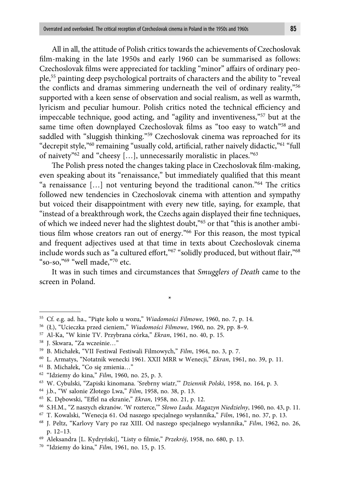All in all, the attitude of Polish critics towards the achievements of Czechoslovak film-making in the late 1950s and early 1960 can be summarised as follows: Czechoslovak films were appreciated for tackling "minor" affairs of ordinary people,55 painting deep psychological portraits of characters and the ability to "reveal the conflicts and dramas simmering underneath the veil of ordinary reality,"<sup>56</sup> supported with a keen sense of observation and social realism, as well as warmth, lyricism and peculiar humour. Polish critics noted the technical efficiency and impeccable technique, good acting, and "agility and inventiveness,"57 but at the same time often downplayed Czechoslovak films as "too easy to watch"<sup>58</sup> and saddled with "sluggish thinking."<sup>59</sup> Czechoslovak cinema was reproached for its "decrepit style,"<sup>60</sup> remaining "usually cold, artificial, rather naively didactic,"<sup>61</sup> "full of naivety"62 and "cheesy […], unnecessarily moralistic in places."63

The Polish press noted the changes taking place in Czechoslovak film-making, even speaking about its "renaissance," but immediately qualified that this meant "a renaissance  $[...]$  not venturing beyond the traditional canon."<sup>64</sup> The critics followed new tendencies in Czechoslovak cinema with attention and sympathy but voiced their disappointment with every new title, saying, for example, that "instead of a breakthrough work, the Czechs again displayed their fine techniques, of which we indeed never had the slightest doubt,"65 or that "this is another ambitious film whose creators ran out of energy."<sup>66</sup> For this reason, the most typical and frequent adjectives used at that time in texts about Czechoslovak cinema include words such as "a cultured effort,"<sup>67</sup> "solidly produced, but without flair,"<sup>68</sup> "so-so,"69 "well made,"70 etc.

It was in such times and circumstances that *Smugglers of Death* came to the screen in Poland.

\*

<sup>55</sup> Cf. e.g. ad. ha., "Piąte koło u wozu," *Wiadomości Filmowe*, 1960, no. 7, p. 14.

<sup>56 (</sup>Ł), "Ucieczka przed cieniem," *Wiadomości Filmowe*, 1960, no. 29, pp. 8–9.

<sup>57</sup> Al-Ka, "W kinie TV. Przybrana córka," *Ekran*, 1961, no. 40, p. 15.

<sup>58</sup> J. Skwara, "Za wcześnie…"

<sup>59</sup> B. Michałek, "VII Festiwal Festiwali Filmowych," *Film*, 1964, no. 3, p. 7.

<sup>60</sup> L. Armatys, "Notatnik wenecki 1961. XXII MRR w Wenecji," *Ekran*, 1961, no. 39, p. 11.

<sup>61</sup> B. Michałek, "Co się zmienia…"

<sup>62 &</sup>quot;Idziemy do kina," *Film*, 1960, no. 25, p. 3.

<sup>63</sup> W. Cybulski, "Zapiski kinomana. 'Srebrny wiatr,'" *Dziennik Polski*, 1958, no. 164, p. 3.

<sup>64</sup> j.b., "W salonie Złotego Lwa," *Film*, 1958, no. 38, p. 13.

<sup>&</sup>lt;sup>65</sup> K. Dębowski, "Effel na ekranie," *Ekran*, 1958, no. 21, p. 12.

<sup>66</sup> S.H.M., "Z naszych ekranów. 'W rozterce,'" *Słowo Ludu. Magazyn Niedzielny*, 1960, no. 43, p. 11.

<sup>67</sup> T. Kowalski, "Wenecja 61. Od naszego specjalnego wysłannika," *Film*, 1961, no. 37, p. 13.

<sup>68</sup> J. Peltz, "Karlovy Vary po raz XIII. Od naszego specjalnego wysłannika," *Film*, 1962, no. 26, p. 12–13.

<sup>&</sup>lt;sup>69</sup> Aleksandra [L. Kydryński], "Listy o filmie," Przekrój, 1958, no. 680, p. 13.

<sup>70 &</sup>quot;Idziemy do kina," *Film*, 1961, no. 15, p. 15.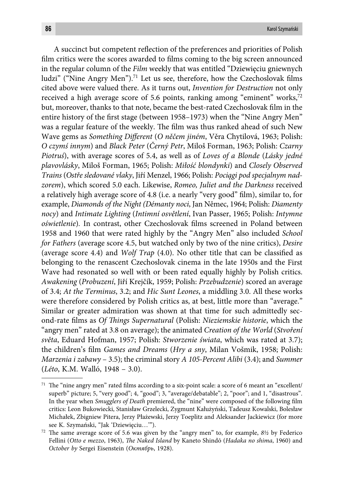A succinct but competent reflection of the preferences and priorities of Polish film critics were the scores awarded to films coming to the big screen announced in the regular column of the *Film* weekly that was entitled "Dziewięciu gniewnych ludzi" ("Nine Angry Men").<sup>71</sup> Let us see, therefore, how the Czechoslovak films cited above were valued there. As it turns out, *Invention for Destruction* not only received a high average score of 5.6 points, ranking among "eminent" works,<sup>72</sup> but, moreover, thanks to that note, became the best-rated Czechoslovak film in the entire history of the first stage (between 1958–1973) when the "Nine Angry Men" was a regular feature of the weekly. The film was thus ranked ahead of such New Wave gems as *Something Different* (O něčem jiném, Věra Chytilová, 1963; Polish: *O czymś innym*) and *Black Peter* (*Černý Petr*, Miloš Forman, 1963; Polish: *Czarny Piotruś*), with average scores of 5.4, as well as of *Loves of a Blonde* (*Lásky jedné plavovlásky*, Miloš Forman, 1965; Polish: *Miłość blondynki*) and *Closely Observed Trains* (*Ostře sledované vlaky*, Jiří Menzel, 1966; Polish: *Pociągi pod specjalnym nadzorem*), which scored 5.0 each. Likewise, *Romeo, Juliet and the Darkness* received a relatively high average score of 4.8 (i.e. a nearly "very good" film), similar to, for example, *Diamonds of the Night (Démanty noci*, Jan Němec, 1964; Polish: *Diamenty nocy*) and *Intimate Lighting* (*Intimní osvětlení*, Ivan Passer, 1965; Polish: *Intymne oświetlenie*). In contrast, other Czechoslovak films screened in Poland between 1958 and 1960 that were rated highly by the "Angry Men" also included *School for Fathers* (average score 4.5, but watched only by two of the nine critics), *Desire*  (average score 4.4) and *Wolf Trap* (4.0). No other title that can be classified as belonging to the renascent Czechoslovak cinema in the late 1950s and the First Wave had resonated so well with or been rated equally highly by Polish critics. *Awakening* (*Probuzení*, Jiří Krejčík, 1959; Polish: *Przebudzenie*) scored an average of 3.4; *At the Terminus*, 3.2; and *Hic Sunt Leones*, a middling 3.0. All these works were therefore considered by Polish critics as, at best, little more than "average." Similar or greater admiration was shown at that time for such admittedly second-rate fi lms as *Of Th ings Supernatural* (Polish: *Nieziemskie historie*, which the "angry men" rated at 3.8 on average); the animated *Creation of the World* (*Stvoření světa*, Eduard Hofman, 1957; Polish: *Stworzenie świata*, which was rated at 3.7); the children's film *Games and Dreams (Hry a sny*, Milan Vošmik, 1958; Polish: *Marzenia i zabawy* – 3.5); the criminal story *A 105-Percent Alibi* (3.4); and *Summer* (*Léto*, K.M. Walló, 1948 – 3.0).

 $71$  The "nine angry men" rated films according to a six-point scale: a score of 6 meant an "excellent/ superb" picture; 5, "very good"; 4, "good"; 3, "average/debatable"; 2, "poor"; and 1, "disastrous". In the year when *Smugglers of Death* premiered, the "nine" were composed of the following film critics: Leon Bukowiecki, Stanisław Grzelecki, Zygmunt Kałużyński, Tadeusz Kowalski, Bolesław Michałek, Zbigniew Pitera, Jerzy Płażewski, Jerzy Toeplitz and Aleksander Jackiewicz (for more see K. Szymański, "Jak 'Dziewięciu…'").

 $72$  The same average score of 5.6 was given by the "angry men" to, for example,  $8\frac{1}{2}$  by Federico Fellini (Otto e mezzo, 1963), *The Naked Island* by Kaneto Shindō (Hadaka no shima, 1960) and *October by* Sergei Eisenstein (*Октябрь*, 1928).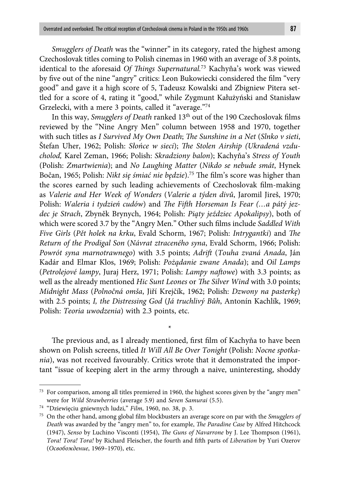*Smugglers of Death* was the "winner" in its category, rated the highest among Czechoslovak titles coming to Polish cinemas in 1960 with an average of 3.8 points, identical to the aforesaid *Of Things Supernatural.<sup>73</sup> Kachyňa's work was viewed* by five out of the nine "angry" critics: Leon Bukowiecki considered the film "very good" and gave it a high score of 5, Tadeusz Kowalski and Zbigniew Pitera settled for a score of 4, rating it "good," while Zygmunt Kałużyński and Stanisław Grzelecki, with a mere 3 points, called it "average."74

In this way, *Smugglers of Death* ranked 13<sup>th</sup> out of the 190 Czechoslovak films reviewed by the "Nine Angry Men" column between 1958 and 1970, together with such titles as *I Survived My Own Death*; *The Sunshine in a Net (Slnko v sieti*, Štefan Uher, 1962; Polish: Słońce w sieci); *The Stolen Airship (Ukradená vzducholoď,* Karel Zeman, 1966; Polish: *Skradziony balon*); Kachyňa's *Stress of Youth*  (Polish: *Zmartwienia*); and *No Laughing Matter* (*Nikdo se nebude smát*, Hynek Bočan, 1965; Polish: *Nikt się śmiać nie będzie*).<sup>75</sup> The film's score was higher than the scores earned by such leading achievements of Czechoslovak film-making as *Valerie and Her Week of Wonders* (*Valerie a týden divů*, Jaromil Jireš, 1970; Polish: Waleria i tydzień cudów) and *The Fifth Horseman Is Fear (...a pátý jezdec je Strach*, Zbyněk Brynych, 1964; Polish: *Piąty jeździec Apokalipsy*), both of which were scored 3.7 by the "Angry Men." Other such films include *Saddled With Five Girls* (*Pět holek na krku*, Evald Schorm, 1967; Polish: *Intrygantki*) and *The Return of the Prodigal Son* (*Návrat ztraceného syna*, Evald Schorm, 1966; Polish: *Powrót syna marnotrawnego*) with 3.5 points; *Adrift* (*Touha zvaná Anada*, Ján Kadár and Elmar Klos, 1969; Polish: *Pożądanie zwane Anada*); and *Oil Lamps* (*Petrolejové lampy*, Juraj Herz, 1971; Polish: *Lampy naftowe*) with 3.3 points; as well as the already mentioned *Hic Sunt Leones* or *The Silver Wind* with 3.0 points; *Midnight Mass* (*Polnočná omša*, Jiří Krejčík, 1962; Polish: *Dzwony na pasterkę*) with 2.5 points; *I, the Distressing God* (*Já truchlivý Bůh*, Antonín Kachlík, 1969; Polish: *Teoria uwodzenia*) with 2.3 points, etc.

The previous and, as I already mentioned, first film of Kachyňa to have been shown on Polish screens, titled *It Will All Be Over Tonight* (Polish: *Nocne spotkania*), was not received favourably. Critics wrote that it demonstrated the important "issue of keeping alert in the army through a naive, uninteresting, shoddy

\*

<sup>&</sup>lt;sup>73</sup> For comparison, among all titles premiered in 1960, the highest scores given by the "angry men" were for *Wild Strawberries* (average 5.9) and *Seven Samurai* (5.5).

<sup>74 &</sup>quot;Dziewięciu gniewnych ludzi," *Film*, 1960, no. 38, p. 3.

<sup>&</sup>lt;sup>75</sup> On the other hand, among global film blockbusters an average score on par with the *Smugglers of Death* was awarded by the "angry men" to, for example, *The Paradine Case* by Alfred Hitchcock (1947), *Senso* by Luchino Visconti (1954), *The Guns of Navarrone* by J. Lee Thompson (1961), *Tora! Tora! Tora!* by Richard Fleischer, the fourth and fifth parts of *Liberation* by Yuri Ozerov (*Освобождение*, 1969–1970), etc.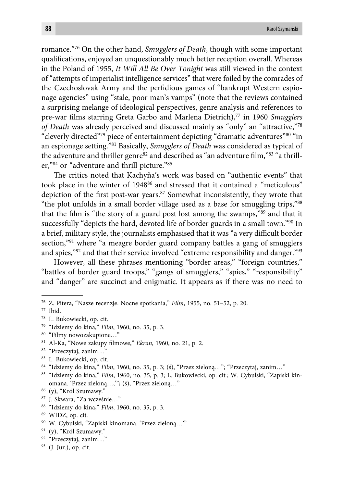romance."76 On the other hand, *Smugglers of Death*, though with some important qualifications, enjoyed an unquestionably much better reception overall. Whereas in the Poland of 1955, *It Will All Be Over Tonight* was still viewed in the context of "attempts of imperialist intelligence services" that were foiled by the comrades of the Czechoslovak Army and the perfidious games of "bankrupt Western espionage agencies" using "stale, poor man's vamps" (note that the reviews contained a surprising melange of ideological perspectives, genre analysis and references to pre-war fi lms starring Greta Garbo and Marlena Dietrich),77 in 1960 *Smugglers of Death* was already perceived and discussed mainly as "only" an "attractive,"78 "cleverly directed"79 piece of entertainment depicting "dramatic adventures"80 "in an espionage setting."81 Basically, *Smugglers of Death* was considered as typical of the adventure and thriller genre<sup>82</sup> and described as "an adventure film," $83$ " a thriller,"84 or "adventure and thrill picture."85

The critics noted that Kachyňa's work was based on "authentic events" that took place in the winter of 1948<sup>86</sup> and stressed that it contained a "meticulous" depiction of the first post-war years.<sup>87</sup> Somewhat inconsistently, they wrote that "the plot unfolds in a small border village used as a base for smuggling trips,"88 that the film is "the story of a guard post lost among the swamps,"<sup>89</sup> and that it successfully "depicts the hard, devoted life of border guards in a small town."<sup>90</sup> In a brief, military style, the journalists emphasised that it was "a very difficult border section,"<sup>91</sup> where "a meagre border guard company battles a gang of smugglers and spies,"92 and that their service involved "extreme responsibility and danger."93

However, all these phrases mentioning "border areas," "foreign countries," "battles of border guard troops," "gangs of smugglers," "spies," "responsibility" and "danger" are succinct and enigmatic. It appears as if there was no need to

79 "Idziemy do kina," *Film*, 1960, no. 35, p. 3*.*

- <sup>81</sup> Al-Ka, "Nowe zakupy filmowe," *Ekran*, 1960, no. 21, p. 2.
- 82 "Przeczytaj, zanim…"

- 84 "Idziemy do kina," *Film*, 1960, no. 35, p. 3; (ś), "Przez zieloną…"; "Przeczytaj, zanim…"
- 85 "Idziemy do kina," *Film*, 1960, no. 35, p. 3; L. Bukowiecki, op. cit*.*; W. Cybulski, "Zapiski kinomana. 'Przez zieloną…,'"; (ś), "Przez zieloną…"
- 86 (y), "Król Szumawy."
- 87 J. Skwara, "Za wcześnie…"
- 88 "Idziemy do kina," *Film*, 1960, no. 35, p. 3*.*
- 89 WIDZ, op. cit.
- 90 W. Cybulski, "Zapiski kinomana. 'Przez zieloną…'"
- 91 (y), "Król Szumawy."
- 92 "Przeczytaj, zanim…"
- 93 (J. Jur.), op. cit.

<sup>76</sup> Z. Pitera, "Nasze recenzje. Nocne spotkania," *Film*, 1955, no. 51–52, p. 20.

<sup>77</sup> Ibid.

<sup>78</sup> L. Bukowiecki, op. cit.

<sup>80 &</sup>quot;Filmy nowozakupione…"

<sup>83</sup> L. Bukowiecki, op. cit.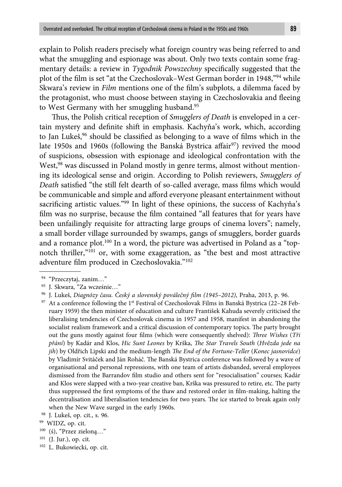explain to Polish readers precisely what foreign country was being referred to and what the smuggling and espionage was about. Only two texts contain some fragmentary details: a review in *Tygodnik Powszechny* specifically suggested that the plot of the film is set "at the Czechoslovak–West German border in 1948,"<sup>94</sup> while Skwara's review in *Film* mentions one of the film's subplots, a dilemma faced by the protagonist, who must choose between staying in Czechoslovakia and fleeing to West Germany with her smuggling husband.<sup>95</sup>

Thus, the Polish critical reception of *Smugglers of Death* is enveloped in a certain mystery and definite shift in emphasis. Kachyňa's work, which, according to Jan Lukes,<sup>96</sup> should be classified as belonging to a wave of films which in the late 1950s and 1960s (following the Banská Bystrica affair<sup>97</sup>) revived the mood of suspicions, obsession with espionage and ideological confrontation with the West,<sup>98</sup> was discussed in Poland mostly in genre terms, almost without mentioning its ideological sense and origin. According to Polish reviewers, *Smugglers of Death* satisfied "the still felt dearth of so-called average, mass films which would be communicable and simple and afford everyone pleasant entertainment without sacrificing artistic values."<sup>99</sup> In light of these opinions, the success of Kachyňa's film was no surprise, because the film contained "all features that for years have been unfailingly requisite for attracting large groups of cinema lovers"; namely, a small border village surrounded by swamps, gangs of smugglers, border guards and a romance plot.<sup>100</sup> In a word, the picture was advertised in Poland as a "topnotch thriller,"101 or, with some exaggeration, as "the best and most attractive adventure film produced in Czechoslovakia."<sup>102</sup>

100 (ś), "Przez zieloną…"

<sup>94 &</sup>quot;Przeczytaj, zanim…"

<sup>95</sup> J. Skwara, "Za wcześnie…"

<sup>96</sup> J. Lukeš, *Diagnózy času. Český a slovenský poválečný fi lm (1945–2012)*, Praha, 2013, p. 96.

<sup>&</sup>lt;sup>97</sup> At a conference following the 1<sup>st</sup> Festival of Czechoslovak Films in Banská Bystrica (22–28 February 1959) the then minister of education and culture František Kahuda severely criticised the liberalising tendencies of Czechoslovak cinema in 1957 and 1958, manifest in abandoning the socialist realism framework and a critical discussion of contemporary topics. The party brought out the guns mostly against four films (which were consequently shelved): *Three Wishes* (*Tři přání*) by Kadár and Klos, *Hic Sunt Leones* by Krška, *Th e Star Travels South* (*Hvězda jede na jih*) by Oldřich Lipski and the medium-length *The End of the Fortune-Teller* (*Konec jasnovidce*) by Vladimír Svitáček and Ján Roháč. The Banská Bystrica conference was followed by a wave of organisational and personal repressions, with one team of artists disbanded, several employees dismissed from the Barrandov film studio and others sent for "resocialisation" courses; Kadár and Klos were slapped with a two-year creative ban, Krška was pressured to retire, etc. The party thus suppressed the first symptoms of the thaw and restored order in film-making, halting the decentralisation and liberalisation tendencies for two years. The ice started to break again only when the New Wave surged in the early 1960s.

<sup>98</sup> J. Lukeš, op. cit., s. 96.

<sup>99</sup> WIDZ, op. cit.

<sup>101 (</sup>J. Jur.), op. cit.

<sup>102</sup> L. Bukowiecki, op. cit.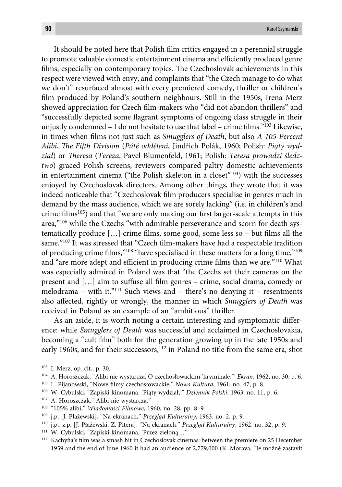It should be noted here that Polish film critics engaged in a perennial struggle to promote valuable domestic entertainment cinema and efficiently produced genre films, especially on contemporary topics. The Czechoslovak achievements in this respect were viewed with envy, and complaints that "the Czech manage to do what we don't" resurfaced almost with every premiered comedy, thriller or children's film produced by Poland's southern neighbours. Still in the 1950s, Irena Merz showed appreciation for Czech film-makers who "did not abandon thrillers" and "successfully depicted some flagrant symptoms of ongoing class struggle in their unjustly condemned  $-$  I do not hesitate to use that label – crime films." $103$  Likewise, in times when films not just such as *Smugglers of Death*, but also *A 105-Percent Alibi*, *Th e Fift h Division* (*Páté oddělení*, Jindřich Polák, 1960; Polish: *Piąty wydział*) or *Th eresa* (*Tereza*, Pavel Blumenfeld, 1961; Polish: *Teresa prowadzi śledztwo*) graced Polish screens, reviewers compared paltry domestic achievements in entertainment cinema ("the Polish skeleton in a closet" $104$ ) with the successes enjoyed by Czechoslovak directors. Among other things, they wrote that it was indeed noticeable that "Czechoslovak film producers specialise in genres much in demand by the mass audience, which we are sorely lacking" (i.e. in children's and crime films<sup>105</sup>) and that "we are only making our first larger-scale attempts in this area,"106 while the Czechs "with admirable perseverance and scorn for death systematically produce  $[\dots]$  crime films, some good, some less so – but films all the same."<sup>107</sup> It was stressed that "Czech film-makers have had a respectable tradition of producing crime films,"<sup>108</sup> "have specialised in these matters for a long time,"<sup>109</sup> and "are more adept and efficient in producing crime films than we are."<sup>110</sup> What was especially admired in Poland was that "the Czechs set their cameras on the present and [...] aim to suffuse all film genres - crime, social drama, comedy or melodrama – with it."<sup>111</sup> Such views and – there's no denying it – resentments also aff ected, rightly or wrongly, the manner in which *Smugglers of Death* was received in Poland as an example of an "ambitious" thriller.

As an aside, it is worth noting a certain interesting and symptomatic difference: while *Smugglers of Death* was successful and acclaimed in Czechoslovakia, becoming a "cult film" both for the generation growing up in the late 1950s and early 1960s, and for their successors,<sup>112</sup> in Poland no title from the same era, shot

<sup>103</sup> I. Merz, op. cit., p. 30.

<sup>104</sup> A. Horoszczak, "Alibi nie wystarcza. O czechosłowackim 'kryminale,'" *Ekran*, 1962, no. 30, p. 6.

<sup>&</sup>lt;sup>105</sup> L. Pijanowski, "Nowe filmy czechosłowackie," *Nowa Kultura*, 1961, no. 47, p. 8.

<sup>106</sup> W. Cybulski, "Zapiski kinomana. 'Piąty wydział,'" *Dziennik Polski*, 1963, no. 11, p. 6.

<sup>107</sup> A. Horoszczak, "Alibi nie wystarcza."

<sup>108 &</sup>quot;105% alibi," *Wiadomości Filmowe*, 1960, no. 28, pp. 8–9.

<sup>109</sup> j.p. [J. Płażewski], "Na ekranach," *Przegląd Kulturalny*, 1963, no. 2, p. 9.

<sup>110</sup> j.p., z.p. [J. Płażewski, Z. Pitera], "Na ekranach," *Przegląd Kulturalny*, 1962, no. 32, p. 9.

<sup>111</sup> W. Cybulski, "Zapiski kinomana. 'Przez zieloną…'"

<sup>&</sup>lt;sup>112</sup> Kachyňa's film was a smash hit in Czechoslovak cinemas: between the premiere on 25 December 1959 and the end of June 1960 it had an audience of 2,779,000 (K. Morava, "Je možné zastavit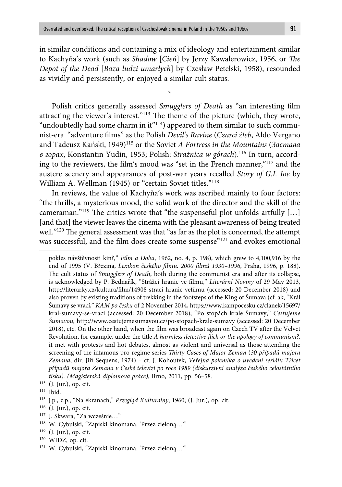in similar conditions and containing a mix of ideology and entertainment similar to Kachyňa's work (such as *Shadow [Cień]* by Jerzy Kawalerowicz, 1956, or *The Depot of the Dead* [*Baza ludzi umarłych*] by Czesław Petelski, 1958), resounded as vividly and persistently, or enjoyed a similar cult status.

\*

Polish critics generally assessed *Smugglers of Death* as "an interesting film attracting the viewer's interest."<sup>113</sup> The theme of the picture (which, they wrote, "undoubtedly had some charm in it" $114$ ) appeared to them similar to such communist-era "adventure films" as the Polish *Devil's Ravine* (Czarci żleb, Aldo Vergano and Tadeusz Kański, 1949)115 or the Soviet *A Fortress in the Mountains* (*Застава в горах*, Konstantin Yudin, 1953; Polish: *Strażnica w górach*).116 In turn, according to the reviewers, the film's mood was "set in the French manner,"<sup>117</sup> and the austere scenery and appearances of post-war years recalled *Story of G.I. Joe* by William A. Wellman (1945) or "certain Soviet titles."<sup>118</sup>

In reviews, the value of Kachyňa's work was ascribed mainly to four factors: "the thrills, a mysterious mood, the solid work of the director and the skill of the cameraman."<sup>119</sup> The critics wrote that "the suspenseful plot unfolds artfully  $[\ldots]$ [and that] the viewer leaves the cinema with the pleasant awareness of being treated well."<sup>120</sup> The general assessment was that "as far as the plot is concerned, the attempt was successful, and the film does create some suspense"<sup>121</sup> and evokes emotional

pokles návštěvnosti kin?," *Film a Doba*, 1962, no. 4, p. 198), which grew to 4,100,916 by the end of 1995 (V. Březina, Lexikon českého filmu. 2000 filmů 1930–1996, Praha, 1996, p. 188). The cult status of *Smugglers of Death*, both during the communist era and after its collapse, is acknowledged by P. Bednařík, "Strážci hranic ve filmu," Literární Noviny of 29 May 2013, http://literarky.cz/kultura/film/14908-straci-hranic-vefilmu (accessed: 20 December 2018) and also proven by existing traditions of trekking in the footsteps of the King of Šumava (cf. ak, "Král Šumavy se vrací," *KAM po česku* of 2 November 2014, https://www.kampocesku.cz/clanek/15697/ kral-sumavy-se-vraci (accessed: 20 December 2018); "Po stopách krále Šumavy," *Cestujeme Šumavou*, http://www.cestujemesumavou.cz/po-stopach-krale-sumavy (accessed: 20 December 2018), etc. On the other hand, when the film was broadcast again on Czech TV after the Velvet Revolution, for example, under the title *A harmless detective flick or the apology of communism?*, it met with protests and hot debates, almost as violent and universal as those attending the screening of the infamous pro-regime series *Thirty Cases of Major Zeman* (30 případů majora *Zemana*, dir. Jiří Sequens, 1974) – cf. J. Kohoutek, *Veřejná polemika o uvedení seriálu Třicet případů majora Zemana v České televizi po roce 1989 (diskurzivní analýza českého celostátního tisku). (Magisterská diplomová práce)*, Brno, 2011, pp. 56–58.

<sup>113 (</sup>J. Jur.), op. cit.

<sup>114</sup> Ibid.

<sup>115</sup> j.p., z.p., "Na ekranach," *Przegląd Kulturalny*, 1960; (J. Jur.), op. cit.

<sup>116 (</sup>J. Jur.), op. cit.

<sup>117</sup> J. Skwara, "Za wcześnie…"

<sup>118</sup> W. Cybulski, "Zapiski kinomana. 'Przez zieloną…'"

<sup>119 (</sup>J. Jur.), op. cit.

<sup>120</sup> WIDZ, op. cit.

<sup>121</sup> W. Cybulski, "Zapiski kinomana. 'Przez zieloną…'"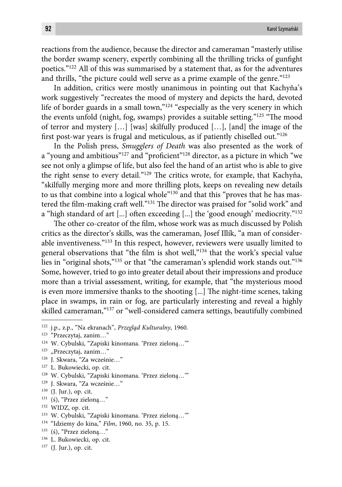reactions from the audience, because the director and cameraman "masterly utilise the border swamp scenery, expertly combining all the thrilling tricks of gunfight poetics."122 All of this was summarised by a statement that, as for the adventures and thrills, "the picture could well serve as a prime example of the genre."123

In addition, critics were mostly unanimous in pointing out that Kachyňa's work suggestively "recreates the mood of mystery and depicts the hard, devoted life of border guards in a small town,"<sup>124</sup> "especially as the very scenery in which the events unfold (night, fog, swamps) provides a suitable setting."<sup>125</sup> "The mood of terror and mystery […] [was] skilfully produced […], [and] the image of the first post-war years is frugal and meticulous, as if patiently chiselled out." $126$ 

In the Polish press, *Smugglers of Death* was also presented as the work of a "young and ambitious"<sup>127</sup> and "proficient"<sup>128</sup> director, as a picture in which "we see not only a glimpse of life, but also feel the hand of an artist who is able to give the right sense to every detail."<sup>129</sup> The critics wrote, for example, that Kachyňa, "skilfully merging more and more thrilling plots, keeps on revealing new details to us that combine into a logical whole"130 and that this "proves that he has mastered the film-making craft well."<sup>131</sup> The director was praised for "solid work" and a "high standard of art  $[...]$  often exceeding  $[...]$  the 'good enough' mediocrity."<sup>132</sup>

The other co-creator of the film, whose work was as much discussed by Polish critics as the director's skills, was the cameraman, Josef Illík, "a man of considerable inventiveness."133 In this respect, however, reviewers were usually limited to general observations that "the film is shot well,"<sup>134</sup> that the work's special value lies in "original shots,"<sup>135</sup> or that "the cameraman's splendid work stands out."<sup>136</sup> Some, however, tried to go into greater detail about their impressions and produce more than a trivial assessment, writing, for example, that "the mysterious mood is even more immersive thanks to the shooting [...] The night-time scenes, taking place in swamps, in rain or fog, are particularly interesting and reveal a highly skilled cameraman,"<sup>137</sup> or "well-considered camera settings, beautifully combined

- 127 L. Bukowiecki, op. cit.
- 128 W. Cybulski, "Zapiski kinomana. 'Przez zieloną…'"
- 129 J. Skwara, "Za wcześnie…"
- 130 (J. Jur.), op. cit.
- 131 (ś), "Przez zieloną…"
- 132 WIDZ, op. cit.
- 133 W. Cybulski, "Zapiski kinomana. 'Przez zieloną…'"
- 134 "Idziemy do kina," *Film*, 1960, no. 35, p. 15.
- $135$  (ś), "Przez zieloną..."
- 136 L. Bukowiecki, op. cit.
- 137 (J. Jur.), op. cit.

<sup>122</sup> j.p., z.p., "Na ekranach", *Przegląd Kulturalny*, 1960*.*

<sup>123 &</sup>quot;Przeczytaj, zanim…"

<sup>124</sup> W. Cybulski, "Zapiski kinomana. 'Przez zieloną…'"

<sup>&</sup>lt;sup>125</sup> "Przeczytaj, zanim..."

<sup>126</sup> J. Skwara, "Za wcześnie…"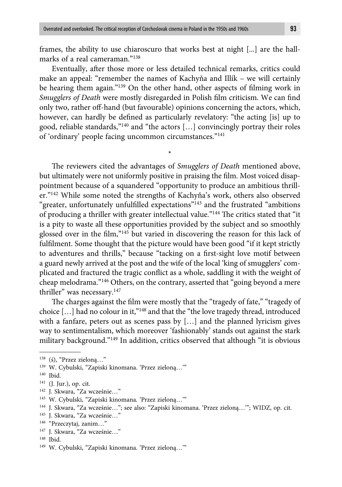frames, the ability to use chiaroscuro that works best at night [...] are the hallmarks of a real cameraman."138

Eventually, after those more or less detailed technical remarks, critics could make an appeal: "remember the names of Kachyňa and Illík – we will certainly be hearing them again."<sup>139</sup> On the other hand, other aspects of filming work in *Smugglers of Death* were mostly disregarded in Polish film criticism. We can find only two, rather off -hand (but favourable) opinions concerning the actors, which, however, can hardly be defined as particularly revelatory: "the acting [is] up to good, reliable standards,"140 and "the actors […] convincingly portray their roles of 'ordinary' people facing uncommon circumstances."141

\*

The reviewers cited the advantages of *Smugglers of Death* mentioned above, but ultimately were not uniformly positive in praising the film. Most voiced disappointment because of a squandered "opportunity to produce an ambitious thriller."142 While some noted the strengths of Kachyňa's work, others also observed "greater, unfortunately unfulfilled expectations"<sup>143</sup> and the frustrated "ambitions" of producing a thriller with greater intellectual value."<sup>144</sup> The critics stated that "it is a pity to waste all these opportunities provided by the subject and so smoothly glossed over in the film,"<sup>145</sup> but varied in discovering the reason for this lack of fulfilment. Some thought that the picture would have been good "if it kept strictly to adventures and thrills," because "tacking on a first-sight love motif between a guard newly arrived at the post and the wife of the local 'king of smugglers' complicated and fractured the tragic conflict as a whole, saddling it with the weight of cheap melodrama."146 Others, on the contrary, asserted that "going beyond a mere thriller" was necessary.<sup>147</sup>

The charges against the film were mostly that the "tragedy of fate," "tragedy of choice […] had no colour in it,"148 and that the "the love tragedy thread, introduced with a fanfare, peters out as scenes pass by […] and the planned lyricism gives way to sentimentalism, which moreover 'fashionably' stands out against the stark military background."149 In addition, critics observed that although "it is obvious

<sup>138 (</sup>ś), "Przez zieloną…"

<sup>139</sup> W. Cybulski, "Zapiski kinomana. 'Przez zieloną…'"

<sup>140</sup> Ibid.

<sup>141 (</sup>J. Jur.), op. cit.

<sup>142</sup> J. Skwara, "Za wcześnie…"

<sup>143</sup> W. Cybulski, "Zapiski kinomana. 'Przez zieloną…'"

<sup>144</sup> J. Skwara, "Za wcześnie…"; see also: "Zapiski kinomana. 'Przez zieloną…'"; WIDZ, op. cit.

<sup>145</sup> J. Skwara, "Za wcześnie…"

<sup>146 &</sup>quot;Przeczytaj, zanim…"

<sup>147</sup> J. Skwara, "Za wcześnie…"

<sup>148</sup> Ibid.

<sup>149</sup> W. Cybulski, "Zapiski kinomana. 'Przez zieloną…'"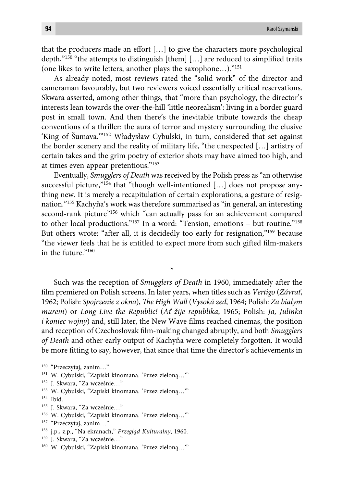that the producers made an effort [...] to give the characters more psychological depth,"<sup>150</sup> "the attempts to distinguish [them]  $[...]$  are reduced to simplified traits (one likes to write letters, another plays the saxophone…)."151

As already noted, most reviews rated the "solid work" of the director and cameraman favourably, but two reviewers voiced essentially critical reservations. Skwara asserted, among other things, that "more than psychology, the director's interests lean towards the over-the-hill 'little neorealism': living in a border guard post in small town. And then there's the inevitable tribute towards the cheap conventions of a thriller: the aura of terror and mystery surrounding the elusive 'King of Šumava.'"152 Władysław Cybulski, in turn, considered that set against the border scenery and the reality of military life, "the unexpected […] artistry of certain takes and the grim poetry of exterior shots may have aimed too high, and at times even appear pretentious."153

Eventually, *Smugglers of Death* was received by the Polish press as "an otherwise successful picture,"<sup>154</sup> that "though well-intentioned [...] does not propose anything new. It is merely a recapitulation of certain explorations, a gesture of resignation."155 Kachyňa's work was therefore summarised as "in general, an interesting second-rank picture"<sup>156</sup> which "can actually pass for an achievement compared to other local productions."157 In a word: "Tension, emotions – but routine."158 But others wrote: "after all, it is decidedly too early for resignation,"<sup>159</sup> because "the viewer feels that he is entitled to expect more from such gifted film-makers in the future."160

Such was the reception of *Smugglers of Death* in 1960, immediately after the film premiered on Polish screens. In later years, when titles such as *Vertigo* (*Závrať*, 1962; Polish: *Spojrzenie z okna*), *The High Wall* (*Vysoká zeď*, 1964; Polish: *Za białym murem*) or *Long Live the Republic!* (*Ať žije republika*, 1965; Polish: *Ja, Julinka i koniec wojny*) and, still later, the New Wave films reached cinemas, the position and reception of Czechoslovak film-making changed abruptly, and both *Smugglers of Death* and other early output of Kachyňa were completely forgotten. It would be more fitting to say, however, that since that time the director's achievements in

\*

155 J. Skwara, "Za wcześnie…"

<sup>150 &</sup>quot;Przeczytaj, zanim…"

<sup>151</sup> W. Cybulski, "Zapiski kinomana. 'Przez zieloną…'"

<sup>152</sup> J. Skwara, "Za wcześnie…"

<sup>153</sup> W. Cybulski, "Zapiski kinomana. 'Przez zieloną…'"

<sup>154</sup> Ibid.

<sup>156</sup> W. Cybulski, "Zapiski kinomana. 'Przez zieloną…'"

<sup>157 &</sup>quot;Przeczytaj, zanim…"

<sup>158</sup> j.p., z.p., "Na ekranach," *Przegląd Kulturalny*, 1960*.*

<sup>159</sup> J. Skwara, "Za wcześnie…"

<sup>160</sup> W. Cybulski, "Zapiski kinomana. 'Przez zieloną…'"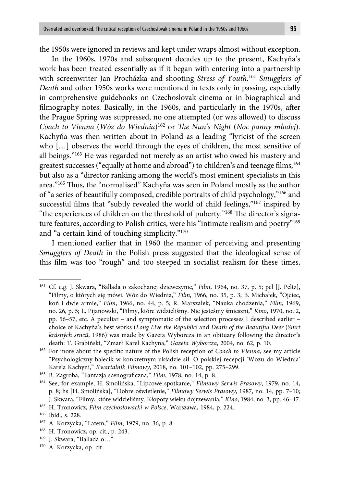the 1950s were ignored in reviews and kept under wraps almost without exception.

In the 1960s, 1970s and subsequent decades up to the present, Kachyňa's work has been treated essentially as if it began with entering into a partnership with screenwriter Jan Procházka and shooting *Stress of Youth*. <sup>161</sup> *Smugglers of Death* and other 1950s works were mentioned in texts only in passing, especially in comprehensive guidebooks on Czechoslovak cinema or in biographical and filmography notes. Basically, in the 1960s, and particularly in the 1970s, after the Prague Spring was suppressed, no one attempted (or was allowed) to discuss *Coach to Vienna* (*Wóz do Wiednia*)<sup>162</sup> or *The Nun's Night* (*Noc panny młodej*). Kachyňa was then written about in Poland as a leading "lyricist of the screen who […] observes the world through the eyes of children, the most sensitive of all beings."163 He was regarded not merely as an artist who owed his mastery and greatest successes ("equally at home and abroad") to children's and teenage films,<sup>164</sup> but also as a "director ranking among the world's most eminent specialists in this area."<sup>165</sup> Thus, the "normalised" Kachyňa was seen in Poland mostly as the author of "a series of beautifully composed, credible portraits of child psychology,"166 and successful films that "subtly revealed the world of child feelings," $167$  inspired by "the experiences of children on the threshold of puberty."<sup>168</sup> The director's signature features, according to Polish critics, were his "intimate realism and poetry"<sup>169</sup> and "a certain kind of touching simplicity."170

I mentioned earlier that in 1960 the manner of perceiving and presenting *Smugglers of Death* in the Polish press suggested that the ideological sense of this film was too "rough" and too steeped in socialist realism for these times,

<sup>161</sup> Cf. e.g. J. Skwara, "Ballada o zakochanej dziewczynie," *Film*, 1964, no. 37, p. 5; pel [J. Peltz], "Filmy, o których się mówi. Wóz do Wiednia," *Film*, 1966, no. 35, p. 3; B. Michałek, "Ojciec, koń i dwie armie," *Film*, 1966, no. 44, p. 5; R. Marszałek, "Nauka chodzenia," *Film*, 1969, no. 26, p. 5; L. Pijanowski, "Filmy, które widzieliśmy. Nie jesteśmy śmieszni," *Kino*, 1970, no. 2, pp. 56–57, etc. A peculiar – and symptomatic of the selection processes I described earlier – choice of Kachyňa's best works (*Long Live the Republic!* and *Death of the Beautiful Deer* (*Smrt krásných srnců*, 1986) was made by Gazeta Wyborcza in an obituary following the director's death: T. Grabiński, "Zmarł Karel Kachyna," *Gazeta Wyborcza*, 2004, no. 62, p. 10.

<sup>&</sup>lt;sup>162</sup> For more about the specific nature of the Polish reception of *Coach to Vienna*, see my article "Psychologiczny balecik w konkretnym układzie sił. O polskiej recepcji 'Wozu do Wiednia' Karela Kachyni," *Kwartalnik Filmowy*, 2018, no. 101–102, pp. 275–299.

<sup>&</sup>lt;sup>163</sup> B. Zagroba, "Fantazja scenograficzna," *Film*, 1978, no. 14, p. 8.

<sup>164</sup> See, for example, H. Smolińska, "Lipcowe spotkanie," *Filmowy Serwis Prasowy*, 1979, no. 14, p. 8; hs [H. Smolińska], "Dobre oświetlenie," *Filmowy Serwis Prasowy*, 1987, no. 14, pp. 7–10; J. Skwara, "Filmy, które widzieliśmy. Kłopoty wieku dojrzewania," *Kino*, 1984, no. 3, pp. 46–47.

<sup>165</sup> H. Tronowicz, *Film czechosłowacki w Polsce*, Warszawa, 1984, p. 224.

<sup>166</sup> Ibid., s. 228.

<sup>167</sup> A. Korzycka, "Latem," *Film*, 1979, no. 36, p. 8.

<sup>168</sup> H. Tronowicz, op. cit., p. 243.

<sup>169</sup> J. Skwara, "Ballada o…"

<sup>170</sup> A. Korzycka, op. cit.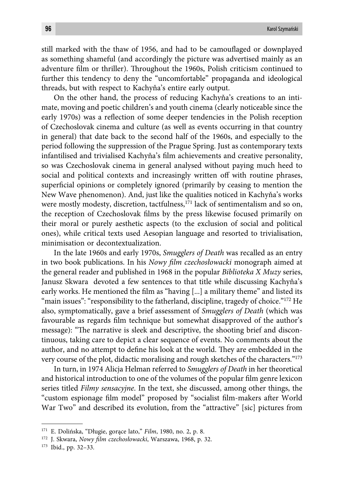still marked with the thaw of 1956, and had to be camouflaged or downplayed as something shameful (and accordingly the picture was advertised mainly as an adventure film or thriller). Throughout the 1960s, Polish criticism continued to further this tendency to deny the "uncomfortable" propaganda and ideological threads, but with respect to Kachyňa's entire early output.

On the other hand, the process of reducing Kachyňa's creations to an intimate, moving and poetic children's and youth cinema (clearly noticeable since the early 1970s) was a reflection of some deeper tendencies in the Polish reception of Czechoslovak cinema and culture (as well as events occurring in that country in general) that date back to the second half of the 1960s, and especially to the period following the suppression of the Prague Spring. Just as contemporary texts infantilised and trivialised Kachyňa's film achievements and creative personality, so was Czechoslovak cinema in general analysed without paying much heed to social and political contexts and increasingly written off with routine phrases, superficial opinions or completely ignored (primarily by ceasing to mention the New Wave phenomenon). And, just like the qualities noticed in Kachyňa's works were mostly modesty, discretion, tactfulness,<sup>171</sup> lack of sentimentalism and so on, the reception of Czechoslovak films by the press likewise focused primarily on their moral or purely aesthetic aspects (to the exclusion of social and political ones), while critical texts used Aesopian language and resorted to trivialisation, minimisation or decontextualization.

In the late 1960s and early 1970s, *Smugglers of Death* was recalled as an entry in two book publications. In his *Nowy film czechosłowacki* monograph aimed at the general reader and published in 1968 in the popular *Biblioteka X Muzy* series, Janusz Skwara devoted a few sentences to that title while discussing Kachyňa's early works. He mentioned the film as "having [...] a military theme" and listed its "main issues": "responsibility to the fatherland, discipline, tragedy of choice." $172$  He also, symptomatically, gave a brief assessment of *Smugglers of Death* (which was favourable as regards film technique but somewhat disapproved of the author's message): "The narrative is sleek and descriptive, the shooting brief and discontinuous, taking care to depict a clear sequence of events. No comments about the author, and no attempt to define his look at the world. They are embedded in the very course of the plot, didactic moralising and rough sketches of the characters."173

In turn, in 1974 Alicja Helman referred to *Smugglers of Death* in her theoretical and historical introduction to one of the volumes of the popular film genre lexicon series titled *Filmy sensacyjne*. In the text, she discussed, among other things, the "custom espionage film model" proposed by "socialist film-makers after World War Two" and described its evolution, from the "attractive" [sic] pictures from

<sup>171</sup> E. Dolińska, "Długie, gorące lato," *Film*, 1980, no. 2, p. 8.

<sup>&</sup>lt;sup>172</sup> J. Skwara, *Nowy film czechosłowacki*, Warszawa, 1968, p. 32.

<sup>173</sup> Ibid., pp. 32–33.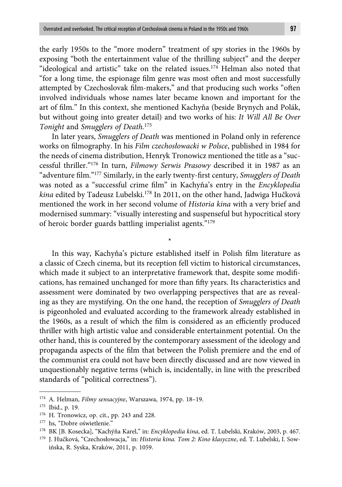the early 1950s to the "more modern" treatment of spy stories in the 1960s by exposing "both the entertainment value of the thrilling subject" and the deeper "ideological and artistic" take on the related issues.174 Helman also noted that "for a long time, the espionage film genre was most often and most successfully attempted by Czechoslovak film-makers," and that producing such works "often involved individuals whose names later became known and important for the art of film." In this context, she mentioned Kachyňa (beside Brynych and Polák, but without going into greater detail) and two works of his: *It Will All Be Over Tonight* and *Smugglers of Death.*<sup>175</sup>

In later years, *Smugglers of Death* was mentioned in Poland only in reference works on filmography. In his *Film czechosłowacki w Polsce*, published in 1984 for the needs of cinema distribution, Henryk Tronowicz mentioned the title as a "successful thriller."176 In turn, *Filmowy Serwis Prasowy* described it in 1987 as an "adventure film."<sup>177</sup> Similarly, in the early twenty-first century, *Smugglers of Death* was noted as a "successful crime film" in Kachyňa's entry in the *Encyklopedia kina* edited by Tadeusz Lubelski.178 In 2011, on the other hand, Jadwiga Hučková mentioned the work in her second volume of *Historia kina* with a very brief and modernised summary: "visually interesting and suspenseful but hypocritical story of heroic border guards battling imperialist agents."179

\*

In this way, Kachyňa's picture established itself in Polish film literature as a classic of Czech cinema, but its reception fell victim to historical circumstances, which made it subject to an interpretative framework that, despite some modifications, has remained unchanged for more than fifty years. Its characteristics and assessment were dominated by two overlapping perspectives that are as revealing as they are mystifying. On the one hand, the reception of *Smugglers of Death* is pigeonholed and evaluated according to the framework already established in the 1960s, as a result of which the film is considered as an efficiently produced thriller with high artistic value and considerable entertainment potential. On the other hand, this is countered by the contemporary assessment of the ideology and propaganda aspects of the film that between the Polish premiere and the end of the communist era could not have been directly discussed and are now viewed in unquestionably negative terms (which is, incidentally, in line with the prescribed standards of "political correctness").

<sup>174</sup> A. Helman, *Filmy sensacyjne*, Warszawa, 1974, pp. 18–19.

<sup>175</sup> Ibid., p. 19.

<sup>176</sup> H. Tronowicz, op. cit., pp. 243 and 228.

<sup>177</sup> hs, "Dobre oświetlenie."

<sup>178</sup> BK [B. Kosecka], "Kachýňa Karel," in: *Encyklopedia kina*, ed. T. Lubelski, Kraków, 2003, p. 467.

<sup>179</sup> J. Hučková, "Czechosłowacja," in: *Historia kina. Tom 2: Kino klasyczne*, ed. T. Lubelski, I. Sowińska, R. Syska, Kraków, 2011, p. 1059.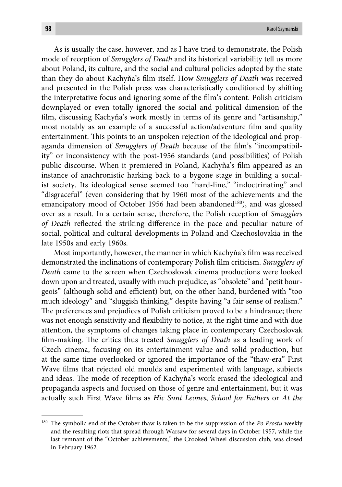As is usually the case, however, and as I have tried to demonstrate, the Polish mode of reception of *Smugglers of Death* and its historical variability tell us more about Poland, its culture, and the social and cultural policies adopted by the state than they do about Kachyňa's film itself. How *Smugglers of Death* was received and presented in the Polish press was characteristically conditioned by shifting the interpretative focus and ignoring some of the film's content. Polish criticism downplayed or even totally ignored the social and political dimension of the film, discussing Kachyňa's work mostly in terms of its genre and "artisanship," most notably as an example of a successful action/adventure film and quality entertainment. This points to an unspoken rejection of the ideological and propaganda dimension of *Smugglers of Death* because of the film's "incompatibility" or inconsistency with the post-1956 standards (and possibilities) of Polish public discourse. When it premiered in Poland, Kachyňa's film appeared as an instance of anachronistic harking back to a bygone stage in building a socialist society. Its ideological sense seemed too "hard-line," "indoctrinating" and "disgraceful" (even considering that by 1960 most of the achievements and the emancipatory mood of October 1956 had been abandoned $180$ , and was glossed over as a result. In a certain sense, therefore, the Polish reception of *Smugglers of Death* reflected the striking difference in the pace and peculiar nature of social, political and cultural developments in Poland and Czechoslovakia in the late 1950s and early 1960s.

Most importantly, however, the manner in which Kachyňa's film was received demonstrated the inclinations of contemporary Polish film criticism. *Smugglers of Death* came to the screen when Czechoslovak cinema productions were looked down upon and treated, usually with much prejudice, as "obsolete" and "petit bourgeois" (although solid and efficient) but, on the other hand, burdened with "too much ideology" and "sluggish thinking," despite having "a fair sense of realism." The preferences and prejudices of Polish criticism proved to be a hindrance; there was not enough sensitivity and flexibility to notice, at the right time and with due attention, the symptoms of changes taking place in contemporary Czechoslovak film-making. The critics thus treated *Smugglers of Death* as a leading work of Czech cinema, focusing on its entertainment value and solid production, but at the same time overlooked or ignored the importance of the "thaw-era" First Wave films that rejected old moulds and experimented with language, subjects and ideas. The mode of reception of Kachyňa's work erased the ideological and propaganda aspects and focused on those of genre and entertainment, but it was actually such First Wave films as *Hic Sunt Leones*, *School for Fathers* or *At the* 

<sup>&</sup>lt;sup>180</sup> The symbolic end of the October thaw is taken to be the suppression of the *Po Prostu* weekly and the resulting riots that spread through Warsaw for several days in October 1957, while the last remnant of the "October achievements," the Crooked Wheel discussion club, was closed in February 1962.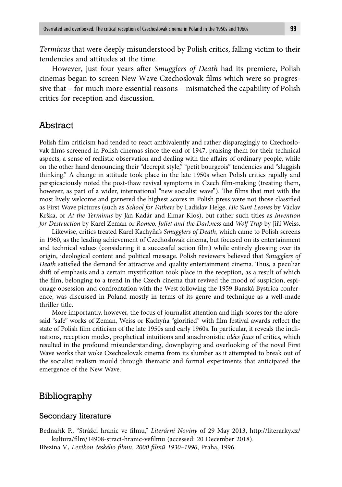*Terminus* that were deeply misunderstood by Polish critics, falling victim to their tendencies and attitudes at the time.

However, just four years after *Smugglers of Death* had its premiere, Polish cinemas began to screen New Wave Czechoslovak films which were so progressive that – for much more essential reasons – mismatched the capability of Polish critics for reception and discussion.

### Abstract

Polish film criticism had tended to react ambivalently and rather disparagingly to Czechoslovak films screened in Polish cinemas since the end of 1947, praising them for their technical aspects, a sense of realistic observation and dealing with the affairs of ordinary people, while on the other hand denouncing their "decrepit style," "petit bourgeois" tendencies and "sluggish thinking." A change in attitude took place in the late 1950s when Polish critics rapidly and perspicaciously noted the post-thaw revival symptoms in Czech film-making (treating them, however, as part of a wider, international "new socialist wave"). The films that met with the most lively welcome and garnered the highest scores in Polish press were not those classified as First Wave pictures (such as *School for Fathers* by Ladislav Helge, *Hic Sunt Leones* by Václav Krška, or *At the Terminus* by Ján Kadár and Elmar Klos), but rather such titles as *Invention for Destruction* by Karel Zeman or *Romeo, Juliet and the Darkness* and *Wolf Trap* by Jiří Weiss.

Likewise, critics treated Karel Kachyňa's *Smugglers of Death*, which came to Polish screens in 1960, as the leading achievement of Czechoslovak cinema, but focused on its entertainment and technical values (considering it a successful action film) while entirely glossing over its origin, ideological content and political message. Polish reviewers believed that *Smugglers of Death* satisfied the demand for attractive and quality entertainment cinema. Thus, a peculiar shift of emphasis and a certain mystification took place in the reception, as a result of which the film, belonging to a trend in the Czech cinema that revived the mood of suspicion, espionage obsession and confrontation with the West following the 1959 Banská Bystrica conference, was discussed in Poland mostly in terms of its genre and technique as a well-made thriller title.

More importantly, however, the focus of journalist attention and high scores for the aforesaid "safe" works of Zeman, Weiss or Kachyňa "glorified" with film festival awards reflect the state of Polish film criticism of the late 1950s and early 1960s. In particular, it reveals the inclinations, reception modes, prophetical intuitions and anachronistic *idées fixes* of critics, which resulted in the profound misunderstanding, downplaying and overlooking of the novel First Wave works that woke Czechoslovak cinema from its slumber as it attempted to break out of the socialist realism mould through thematic and formal experiments that anticipated the emergence of the New Wave.

## Bibliography

#### Secondary literature

Bednařík P., "Strážci hranic ve filmu," *Literární Noviny* of 29 May 2013, http://literarky.cz/ kultura/film/14908-straci-hranic-vefilmu (accessed: 20 December 2018).

Březina V., *Lexikon českého fi lmu. 2000 fi lmů 1930–1996*, Praha, 1996.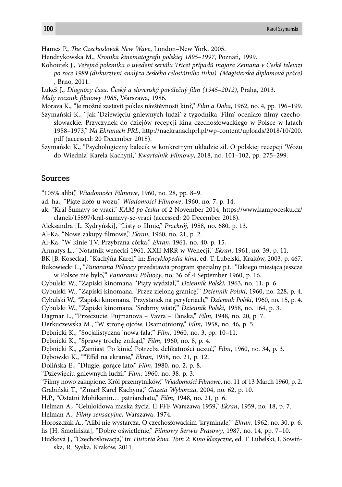Hames P., *The Czechoslovak New Wave*, London–New York, 2005.

Hendrykowska M., *Kronika kinematografi i polskiej 1895–1997*, Poznań, 1999.

- Kohoutek J., *Veřejná polemika o uvedení seriálu Třicet případů majora Zemana v České televizi po roce 1989 (diskurzivní analýza českého celostátního tisku). (Magisterská diplomová práce)* , Brno, 2011.
- Lukeš J., *Diagnózy času. Český a slovenský poválečný fi lm (1945–2012)*, Praha, 2013.

*Mały rocznik fi lmowy 1985*, Warszawa, 1986.

Morava K., "Je možné zastavit pokles návštěvnosti kin?," *Film a Doba*, 1962, no. 4, pp. 196–199.

Szymański K., "Jak 'Dziewięciu gniewnych ludzi' z tygodnika 'Film' oceniało filmy czechosłowackie. Przyczynek do dziejów recepcji kina czechosłowackiego w Polsce w latach 1958–1973," *Na Ekranach PRL*, http://naekranachprl.pl/wp-content/uploads/2018/10/200. pdf (accessed: 20 December 2018).

Szymański K., "Psychologiczny balecik w konkretnym układzie sił. O polskiej recepcji 'Wozu do Wiednia' Karela Kachyni," *Kwartalnik Filmowy*, 2018, no. 101–102, pp. 275–299.

#### Sources

"105% alibi," *Wiadomości Filmowe*, 1960, no. 28, pp. 8–9.

ad. ha., "Piąte koło u wozu," *Wiadomości Filmowe*, 1960, no. 7, p. 14.

- ak, "Král Šumavy se vrací," *KAM po česku* of 2 November 2014, https://www.kampocesku.cz/ clanek/15697/kral-sumavy-se-vraci (accessed: 20 December 2018).
- Aleksandra [L. Kydryński], "Listy o filmie," Przekrój, 1958, no. 680, p. 13.

Al-Ka, "Nowe zakupy filmowe," *Ekran*, 1960, no. 21, p. 2.

- Al-Ka, "W kinie TV. Przybrana córka," *Ekran*, 1961, no. 40, p. 15.
- Armatys L., "Notatnik wenecki 1961. XXII MRR w Wenecji," *Ekran*, 1961, no. 39, p. 11.
- BK [B. Kosecka], "Kachýňa Karel," in: *Encyklopedia kina*, ed. T. Lubelski, Kraków, 2003, p. 467.
- Bukowiecki L., "*Panorama Północy* przedstawia program specjalny p.t.: 'Takiego miesiąca jeszcze w Polsce nie było,'" *Panorama Północy*, no. 36 of 4 September 1960, p. 16.
- Cybulski W., "Zapiski kinomana. 'Piąty wydział,'" *Dziennik Polski*, 1963, no. 11, p. 6.
- Cybulski W., "Zapiski kinomana. 'Przez zieloną granicę,'" *Dziennik Polski*, 1960, no. 228, p. 4.
- Cybulski W., "Zapiski kinomana. 'Przystanek na peryferiach,'" *Dziennik Polski*, 1960, no. 15, p. 4.
- Cybulski W., "Zapiski kinomana. 'Srebrny wiatr,'" *Dziennik Polski*, 1958, no. 164, p. 3.

Dagmar L., "Przeczucie. Pujmanova – Vavra – Tanska," *Film*, 1948, no. 20, p. 7.

- Derkuczewska M., "W stronę ojców. Osamotniony," *Film*, 1958, no. 46, p. 5.
- Dębnicki K., "Socjalistyczna 'nowa fala,'" *Film*, 1960, no. 3, pp. 10–11.

Dębnicki K., "Sprawy trochę znikąd," *Film*, 1960, no. 8, p. 4.

Dębnicki K., "Zamiast 'Po kinie'. Potrzeba delikatności uczuć," *Film*, 1960, no. 34, p. 3.

Dębowski K., ""Effel na ekranie," *Ekran*, 1958, no. 21, p. 12.

Dolińska E., "Długie, gorące lato," *Film*, 1980, no. 2, p. 8.

"Dziewięciu gniewnych ludzi," *Film*, 1960, no. 38, p. 3.

"Filmy nowo zakupione. Król przemytników," *Wiadomości Filmowe*, no. 11 of 13 March 1960, p. 2.

Grabiński T., "Zmarł Karel Kachyna," *Gazeta Wyborcza*, 2004, no. 62, p. 10.

H.P., "Ostatni Mohikanin… patriarchatu," *Film*, 1948, no. 21, p. 6.

Helman A., "Celuloidowa maska życia. II FFF Warszawa 1959," *Ekran*, 1959, no. 18, p. 7.

Helman A., *Filmy sensacyjne*, Warszawa, 1974.

- Horoszczak A., "Alibi nie wystarcza. O czechosłowackim 'kryminale,'" *Ekran*, 1962, no. 30, p. 6. hs [H. Smolińska], "Dobre oświetlenie," *Filmowy Serwis Prasowy*, 1987, no. 14, pp. 7–10.
- Hučková J., "Czechosłowacja," in: *Historia kina. Tom 2: Kino klasyczne*, ed. T. Lubelski, I. Sowińska, R. Syska, Kraków, 2011.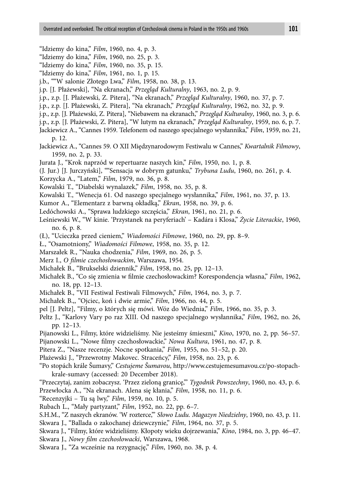- "Idziemy do kina," *Film*, 1960, no. 4, p. 3.
- "Idziemy do kina," *Film*, 1960, no. 25, p. 3.
- "Idziemy do kina," *Film*, 1960, no. 35, p. 15.
- "Idziemy do kina," *Film*, 1961, no. 1, p. 15.
- j.b., ""W salonie Złotego Lwa," *Film*, 1958, no. 38, p. 13.
- j.p. [J. Płażewski], "Na ekranach," *Przegląd Kulturalny*, 1963, no. 2, p. 9.
- j.p., z.p. [J. Płażewski, Z. Pitera], "Na ekranach," *Przegląd Kulturalny*, 1960, no. 37, p. 7.
- j.p., z.p. [J. Płażewski, Z. Pitera], "Na ekranach," *Przegląd Kulturalny*, 1962, no. 32, p. 9.
- j.p., z.p. [J. Płażewski, Z. Pitera], "Niebawem na ekranach," *Przegląd Kulturalny*, 1960, no. 3, p. 6.
- j.p., z.p. [J. Płażewski, Z. Pitera], "W lutym na ekranach," *Przegląd Kulturalny*, 1959, no. 6, p. 7.
- Jackiewicz A., "Cannes 1959. Telefonem od naszego specjalnego wysłannika," *Film*, 1959, no. 21, p. 12.
- Jackiewicz A., "Cannes 59. O XII Międzynarodowym Festiwalu w Cannes," *Kwartalnik Filmowy*, 1959, no. 2, p. 33.
- Jurata J., "Krok naprzód w repertuarze naszych kin," *Film*, 1950, no. 1, p. 8.
- (J. Jur.) [J. Jurczyński], ""Sensacja w dobrym gatunku," *Trybuna Ludu*, 1960, no. 261, p. 4.
- Korzycka A., "Latem," *Film*, 1979, no. 36, p. 8.
- Kowalski T., "Diabelski wynalazek," *Film*, 1958, no. 35, p. 8.
- Kowalski T., "Wenecja 61. Od naszego specjalnego wysłannika," *Film*, 1961, no. 37, p. 13.
- Kumor A., "Elementarz z barwną okładką," *Ekran*, 1958, no. 39, p. 6.
- Ledóchowski A., "Sprawa ludzkiego szczęścia," *Ekran*, 1961, no. 21, p. 6.
- Leśniewski W., "W kinie. 'Przystanek na peryferiach' Kadára i Klosa," *Życie Literackie*, 1960, no. 6, p. 8.
- (Ł), "Ucieczka przed cieniem," *Wiadomości Filmowe*, 1960, no. 29, pp. 8–9.
- Ł., "Osamotniony," *Wiadomości Filmowe*, 1958, no. 35, p. 12.
- Marszałek R., "Nauka chodzenia," *Film*, 1969, no. 26, p. 5.
- Merz I., O filmie czechosłowackim, Warszawa, 1954.
- Michałek B., "Brukselski dziennik," *Film*, 1958, no. 25, pp. 12–13.
- Michałek B., "Co się zmienia w filmie czechosłowackim? Korespondencja własna," *Film*, 1962, no. 18, pp. 12–13.
- Michałek B., "VII Festiwal Festiwali Filmowych," *Film*, 1964, no. 3, p. 7.
- Michałek B.,, "Ojciec, koń i dwie armie," *Film*, 1966, no. 44, p. 5.
- pel [J. Peltz], "Filmy, o których się mówi. Wóz do Wiednia," *Film*, 1966, no. 35, p. 3.
- Peltz J., "Karlovy Vary po raz XIII. Od naszego specjalnego wysłannika," *Film*, 1962, no. 26, pp. 12–13.
- Pijanowski L., Filmy, które widzieliśmy. Nie jesteśmy śmieszni," *Kino*, 1970, no. 2, pp. 56–57. Pijanowski L., "Nowe filmy czechosłowackie," *Nowa Kultura*, 1961, no. 47, p. 8.
- 
- Pitera Z., "Nasze recenzje. Nocne spotkania," *Film*, 1955, no. 51–52, p. 20.
- Płażewski J., "Przewrotny Makovec. Straceńcy," *Film*, 1958, no. 23, p. 6.
- "Po stopách krále Šumavy," *Cestujeme Šumavou*, http://www.cestujemesumavou.cz/po-stopachkrale-sumavy (accessed: 20 December 2018).
- "Przeczytaj, zanim zobaczysz. 'Przez zieloną granicę,'" *Tygodnik Powszechny*, 1960, no. 43, p. 6. Przewłocka A., "Na ekranach. Alena się kłania," *Film*, 1958, no. 11, p. 6.
- "Recenzyjki Tu są lwy," *Film*, 1959, no. 10, p. 5.
- Rubach L., "Mały partyzant," *Film*, 1952, no. 22, pp. 6–7.
- S.H.M., "Z naszych ekranów. 'W rozterce,'" *Słowo Ludu. Magazyn Niedzielny*, 1960, no. 43, p. 11.
- Skwara J., "Ballada o zakochanej dziewczynie," *Film*, 1964, no. 37, p. 5.
- Skwara J., "Filmy, które widzieliśmy. Kłopoty wieku dojrzewania," *Kino*, 1984, no. 3, pp. 46–47. Skwara J., *Nowy film czechosłowacki*, Warszawa, 1968.
- Skwara J., "Za wcześnie na rezygnację," *Film*, 1960, no. 38, p. 4.